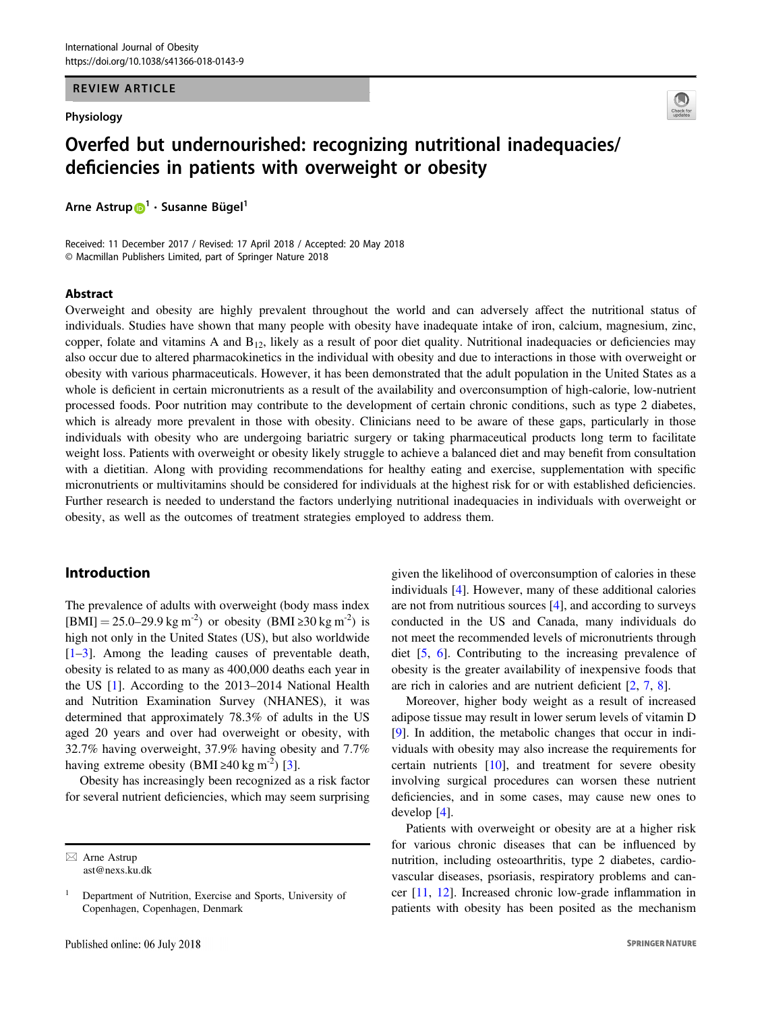# REVIEW ARTICLE

#### Physiology



# Overfed but undernourished: recognizing nutritional inadequacies/ deficiencies in patients with overweight or obesity

Arne Astrup D + Susanne Bugel

Received: 11 December 2017 / Revised: 17 April 2018 / Accepted: 20 May 2018 © Macmillan Publishers Limited, part of Springer Nature 2018

#### Abstract

Overweight and obesity are highly prevalent throughout the world and can adversely affect the nutritional status of individuals. Studies have shown that many people with obesity have inadequate intake of iron, calcium, magnesium, zinc, copper, folate and vitamins A and  $B_{12}$ , likely as a result of poor diet quality. Nutritional inadequacies or deficiencies may also occur due to altered pharmacokinetics in the individual with obesity and due to interactions in those with overweight or obesity with various pharmaceuticals. However, it has been demonstrated that the adult population in the United States as a whole is deficient in certain micronutrients as a result of the availability and overconsumption of high-calorie, low-nutrient processed foods. Poor nutrition may contribute to the development of certain chronic conditions, such as type 2 diabetes, which is already more prevalent in those with obesity. Clinicians need to be aware of these gaps, particularly in those individuals with obesity who are undergoing bariatric surgery or taking pharmaceutical products long term to facilitate weight loss. Patients with overweight or obesity likely struggle to achieve a balanced diet and may benefit from consultation with a dietitian. Along with providing recommendations for healthy eating and exercise, supplementation with specific micronutrients or multivitamins should be considered for individuals at the highest risk for or with established deficiencies. Further research is needed to understand the factors underlying nutritional inadequacies in individuals with overweight or obesity, as well as the outcomes of treatment strategies employed to address them.

# Introduction

The prevalence of adults with overweight (body mass index  $[BMI] = 25.0-29.9 \text{ kg m}^{-2}$  or obesity  $(BMI \ge 30 \text{ kg m}^{-2})$  is high not only in the United States (US), but also worldwide [\[1](#page-8-0)–[3](#page-8-0)]. Among the leading causes of preventable death, obesity is related to as many as 400,000 deaths each year in the US [\[1](#page-8-0)]. According to the 2013–2014 National Health and Nutrition Examination Survey (NHANES), it was determined that approximately 78.3% of adults in the US aged 20 years and over had overweight or obesity, with 32.7% having overweight, 37.9% having obesity and 7.7% having extreme obesity (BMI ≥40 kg m<sup>-2</sup>) [\[3](#page-8-0)].

Obesity has increasingly been recognized as a risk factor for several nutrient deficiencies, which may seem surprising

 $\boxtimes$  Arne Astrup [ast@nexs.ku.dk](mailto:ast@nexs.ku.dk) given the likelihood of overconsumption of calories in these individuals [\[4](#page-8-0)]. However, many of these additional calories are not from nutritious sources [[4\]](#page-8-0), and according to surveys conducted in the US and Canada, many individuals do not meet the recommended levels of micronutrients through diet [\[5](#page-8-0), [6\]](#page-8-0). Contributing to the increasing prevalence of obesity is the greater availability of inexpensive foods that are rich in calories and are nutrient deficient [\[2](#page-8-0), [7](#page-8-0), [8](#page-9-0)].

Moreover, higher body weight as a result of increased adipose tissue may result in lower serum levels of vitamin D [\[9](#page-9-0)]. In addition, the metabolic changes that occur in individuals with obesity may also increase the requirements for certain nutrients [\[10](#page-9-0)], and treatment for severe obesity involving surgical procedures can worsen these nutrient deficiencies, and in some cases, may cause new ones to develop [\[4](#page-8-0)].

Patients with overweight or obesity are at a higher risk for various chronic diseases that can be influenced by nutrition, including osteoarthritis, type 2 diabetes, cardiovascular diseases, psoriasis, respiratory problems and cancer [\[11](#page-9-0), [12](#page-9-0)]. Increased chronic low-grade inflammation in patients with obesity has been posited as the mechanism

<sup>1</sup> Department of Nutrition, Exercise and Sports, University of Copenhagen, Copenhagen, Denmark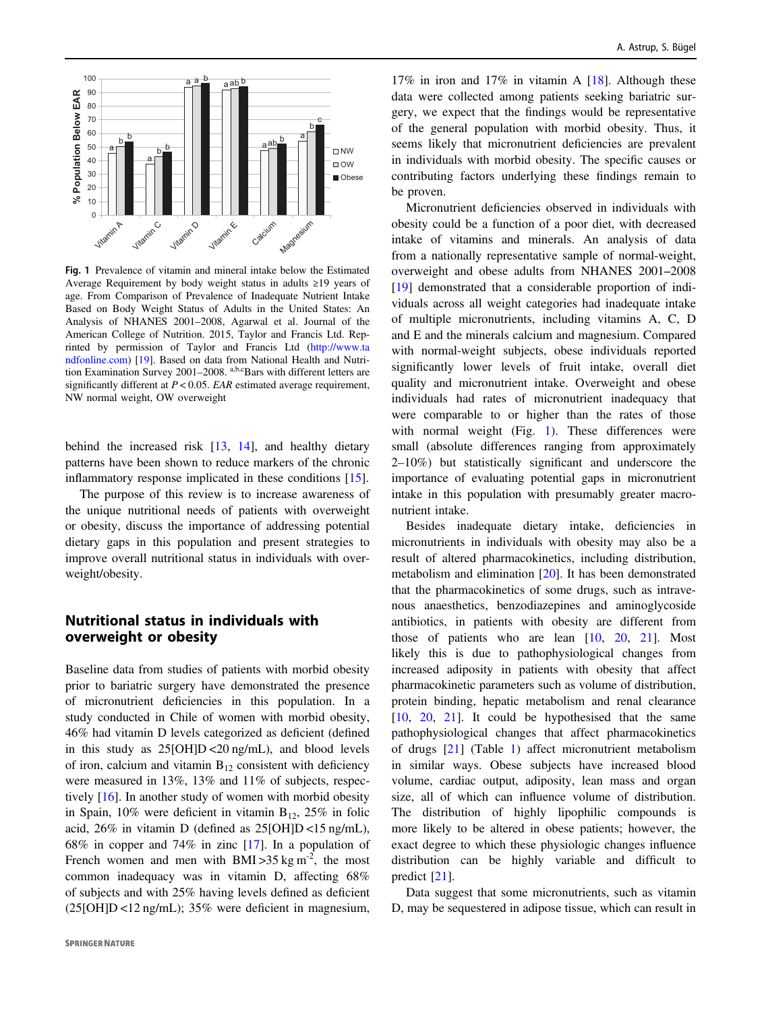<span id="page-1-0"></span>

Fig. 1 Prevalence of vitamin and mineral intake below the Estimated Average Requirement by body weight status in adults ≥19 years of age. From Comparison of Prevalence of Inadequate Nutrient Intake Based on Body Weight Status of Adults in the United States: An Analysis of NHANES 2001–2008, Agarwal et al. Journal of the American College of Nutrition. 2015, Taylor and Francis Ltd. Reprinted by permission of Taylor and Francis Ltd ([http://www.ta](http://www.tandfonline.com) [ndfonline.com\)](http://www.tandfonline.com) [\[19\]](#page-9-0). Based on data from National Health and Nutrition Examination Survey 2001–2008. a,b,cBars with different letters are significantly different at  $P < 0.05$ . EAR estimated average requirement, NW normal weight, OW overweight

behind the increased risk  $[13, 14]$  $[13, 14]$  $[13, 14]$  $[13, 14]$ , and healthy dietary patterns have been shown to reduce markers of the chronic inflammatory response implicated in these conditions [[15\]](#page-9-0).

The purpose of this review is to increase awareness of the unique nutritional needs of patients with overweight or obesity, discuss the importance of addressing potential dietary gaps in this population and present strategies to improve overall nutritional status in individuals with overweight/obesity.

# Nutritional status in individuals with overweight or obesity

Baseline data from studies of patients with morbid obesity prior to bariatric surgery have demonstrated the presence of micronutrient deficiencies in this population. In a study conducted in Chile of women with morbid obesity, 46% had vitamin D levels categorized as deficient (defined in this study as 25[OH]D <20 ng/mL), and blood levels of iron, calcium and vitamin  $B_{12}$  consistent with deficiency were measured in 13%, 13% and 11% of subjects, respectively [\[16](#page-9-0)]. In another study of women with morbid obesity in Spain, 10% were deficient in vitamin  $B_{12}$ , 25% in folic acid, 26% in vitamin D (defined as 25[OH]D <15 ng/mL), 68% in copper and 74% in zinc [\[17](#page-9-0)]. In a population of French women and men with BMI > 35 kg m<sup>-2</sup>, the most common inadequacy was in vitamin D, affecting 68% of subjects and with 25% having levels defined as deficient (25[OH]D <12 ng/mL); 35% were deficient in magnesium,

17% in iron and 17% in vitamin A [\[18](#page-9-0)]. Although these data were collected among patients seeking bariatric surgery, we expect that the findings would be representative of the general population with morbid obesity. Thus, it seems likely that micronutrient deficiencies are prevalent in individuals with morbid obesity. The specific causes or contributing factors underlying these findings remain to be proven.

Micronutrient deficiencies observed in individuals with obesity could be a function of a poor diet, with decreased intake of vitamins and minerals. An analysis of data from a nationally representative sample of normal-weight, overweight and obese adults from NHANES 2001-2008 [\[19](#page-9-0)] demonstrated that a considerable proportion of individuals across all weight categories had inadequate intake of multiple micronutrients, including vitamins A, C, D and E and the minerals calcium and magnesium. Compared with normal-weight subjects, obese individuals reported significantly lower levels of fruit intake, overall diet quality and micronutrient intake. Overweight and obese individuals had rates of micronutrient inadequacy that were comparable to or higher than the rates of those with normal weight (Fig. 1). These differences were small (absolute differences ranging from approximately 2–10%) but statistically significant and underscore the importance of evaluating potential gaps in micronutrient intake in this population with presumably greater macronutrient intake.

Besides inadequate dietary intake, deficiencies in micronutrients in individuals with obesity may also be a result of altered pharmacokinetics, including distribution, metabolism and elimination [\[20](#page-9-0)]. It has been demonstrated that the pharmacokinetics of some drugs, such as intravenous anaesthetics, benzodiazepines and aminoglycoside antibiotics, in patients with obesity are different from those of patients who are lean [\[10](#page-9-0), [20](#page-9-0), [21\]](#page-9-0). Most likely this is due to pathophysiological changes from increased adiposity in patients with obesity that affect pharmacokinetic parameters such as volume of distribution, protein binding, hepatic metabolism and renal clearance [\[10](#page-9-0), [20](#page-9-0), [21](#page-9-0)]. It could be hypothesised that the same pathophysiological changes that affect pharmacokinetics of drugs [[21\]](#page-9-0) (Table [1\)](#page-2-0) affect micronutrient metabolism in similar ways. Obese subjects have increased blood volume, cardiac output, adiposity, lean mass and organ size, all of which can influence volume of distribution. The distribution of highly lipophilic compounds is more likely to be altered in obese patients; however, the exact degree to which these physiologic changes influence distribution can be highly variable and difficult to predict [\[21](#page-9-0)].

Data suggest that some micronutrients, such as vitamin D, may be sequestered in adipose tissue, which can result in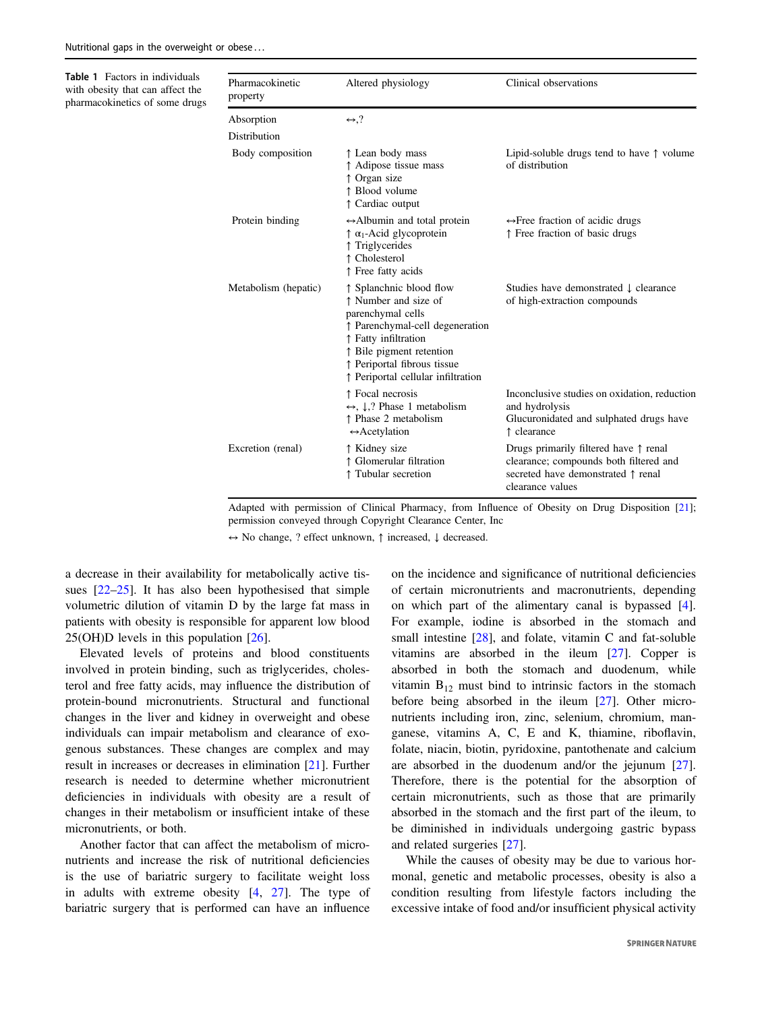<span id="page-2-0"></span>Table 1 Factors in individuals with obesity that can affect the pharmacokinetics of some drugs

| Pharmacokinetic<br>property | Altered physiology                                                                                                                                                                                                               | Clinical observations                                                                                                                                       |
|-----------------------------|----------------------------------------------------------------------------------------------------------------------------------------------------------------------------------------------------------------------------------|-------------------------------------------------------------------------------------------------------------------------------------------------------------|
| Absorption                  | $\leftrightarrow$ ,?                                                                                                                                                                                                             |                                                                                                                                                             |
| Distribution                |                                                                                                                                                                                                                                  |                                                                                                                                                             |
| Body composition            | ↑ Lean body mass<br>↑ Adipose tissue mass<br>↑ Organ size<br>↑ Blood volume<br>↑ Cardiac output                                                                                                                                  | Lipid-soluble drugs tend to have $\uparrow$ volume<br>of distribution                                                                                       |
| Protein binding             | $\leftrightarrow$ Albumin and total protein<br>$\uparrow \alpha_1$ -Acid glycoprotein<br>↑ Triglycerides<br>↑ Cholesterol<br>↑ Free fatty acids                                                                                  | $\leftrightarrow$ Free fraction of acidic drugs<br>↑ Free fraction of basic drugs                                                                           |
| Metabolism (hepatic)        | ↑ Splanchnic blood flow<br>↑ Number and size of<br>parenchymal cells<br>↑ Parenchymal-cell degeneration<br>↑ Fatty infiltration<br>↑ Bile pigment retention<br>↑ Periportal fibrous tissue<br>↑ Periportal cellular infiltration | Studies have demonstrated $\downarrow$ clearance<br>of high-extraction compounds                                                                            |
|                             | ↑ Focal necrosis<br>$\leftrightarrow$ , $\downarrow$ ,? Phase 1 metabolism<br>↑ Phase 2 metabolism<br>$\leftrightarrow$ Acetylation                                                                                              | Inconclusive studies on oxidation, reduction<br>and hydrolysis<br>Glucuronidated and sulphated drugs have<br>↑ clearance                                    |
| Excretion (renal)           | ↑ Kidney size<br>↑ Glomerular filtration<br>↑ Tubular secretion                                                                                                                                                                  | Drugs primarily filtered have $\uparrow$ renal<br>clearance; compounds both filtered and<br>secreted have demonstrated $\uparrow$ renal<br>clearance values |

Adapted with permission of Clinical Pharmacy, from Influence of Obesity on Drug Disposition [[21](#page-9-0)]; permission conveyed through Copyright Clearance Center, Inc

↔ No change, ? effect unknown, ↑ increased, ↓ decreased.

a decrease in their availability for metabolically active tissues [\[22](#page-9-0)–[25](#page-9-0)]. It has also been hypothesised that simple volumetric dilution of vitamin D by the large fat mass in patients with obesity is responsible for apparent low blood 25(OH)D levels in this population [\[26](#page-9-0)].

Elevated levels of proteins and blood constituents involved in protein binding, such as triglycerides, cholesterol and free fatty acids, may influence the distribution of protein-bound micronutrients. Structural and functional changes in the liver and kidney in overweight and obese individuals can impair metabolism and clearance of exogenous substances. These changes are complex and may result in increases or decreases in elimination [\[21](#page-9-0)]. Further research is needed to determine whether micronutrient deficiencies in individuals with obesity are a result of changes in their metabolism or insufficient intake of these micronutrients, or both.

Another factor that can affect the metabolism of micronutrients and increase the risk of nutritional deficiencies is the use of bariatric surgery to facilitate weight loss in adults with extreme obesity  $[4, 27]$  $[4, 27]$  $[4, 27]$  $[4, 27]$  $[4, 27]$ . The type of bariatric surgery that is performed can have an influence on the incidence and significance of nutritional deficiencies of certain micronutrients and macronutrients, depending on which part of the alimentary canal is bypassed [[4\]](#page-8-0). For example, iodine is absorbed in the stomach and small intestine [\[28](#page-9-0)], and folate, vitamin C and fat-soluble vitamins are absorbed in the ileum [[27\]](#page-9-0). Copper is absorbed in both the stomach and duodenum, while vitamin  $B_{12}$  must bind to intrinsic factors in the stomach before being absorbed in the ileum [[27\]](#page-9-0). Other micronutrients including iron, zinc, selenium, chromium, manganese, vitamins A, C, E and K, thiamine, riboflavin, folate, niacin, biotin, pyridoxine, pantothenate and calcium are absorbed in the duodenum and/or the jejunum [[27\]](#page-9-0). Therefore, there is the potential for the absorption of certain micronutrients, such as those that are primarily absorbed in the stomach and the first part of the ileum, to be diminished in individuals undergoing gastric bypass and related surgeries [[27\]](#page-9-0).

While the causes of obesity may be due to various hormonal, genetic and metabolic processes, obesity is also a condition resulting from lifestyle factors including the excessive intake of food and/or insufficient physical activity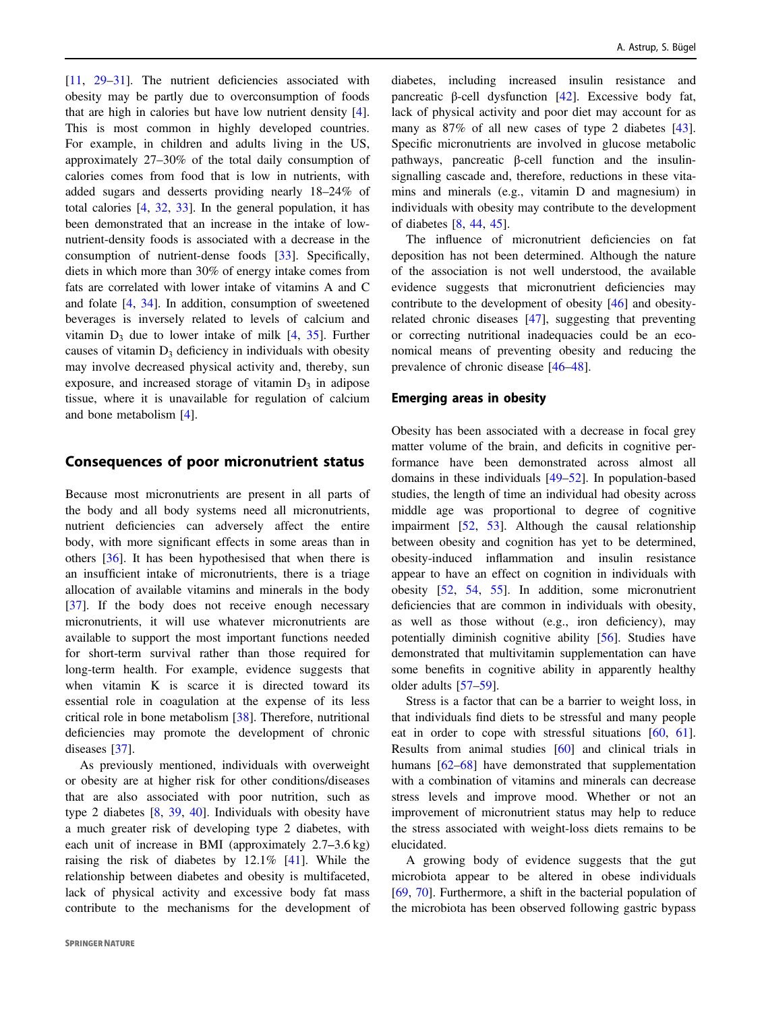[\[11](#page-9-0), [29](#page-9-0)–[31\]](#page-9-0). The nutrient deficiencies associated with obesity may be partly due to overconsumption of foods that are high in calories but have low nutrient density [\[4](#page-8-0)]. This is most common in highly developed countries. For example, in children and adults living in the US, approximately 27–30% of the total daily consumption of calories comes from food that is low in nutrients, with added sugars and desserts providing nearly 18–24% of total calories [[4,](#page-8-0) [32](#page-9-0), [33\]](#page-9-0). In the general population, it has been demonstrated that an increase in the intake of lownutrient-density foods is associated with a decrease in the consumption of nutrient-dense foods [[33\]](#page-9-0). Specifically, diets in which more than 30% of energy intake comes from fats are correlated with lower intake of vitamins A and C and folate [[4,](#page-8-0) [34](#page-9-0)]. In addition, consumption of sweetened beverages is inversely related to levels of calcium and vitamin  $D_3$  due to lower intake of milk  $[4, 35]$  $[4, 35]$  $[4, 35]$  $[4, 35]$ . Further causes of vitamin  $D_3$  deficiency in individuals with obesity may involve decreased physical activity and, thereby, sun exposure, and increased storage of vitamin  $D_3$  in adipose tissue, where it is unavailable for regulation of calcium and bone metabolism [[4\]](#page-8-0).

## Consequences of poor micronutrient status

Because most micronutrients are present in all parts of the body and all body systems need all micronutrients, nutrient deficiencies can adversely affect the entire body, with more significant effects in some areas than in others [\[36](#page-9-0)]. It has been hypothesised that when there is an insufficient intake of micronutrients, there is a triage allocation of available vitamins and minerals in the body [\[37](#page-9-0)]. If the body does not receive enough necessary micronutrients, it will use whatever micronutrients are available to support the most important functions needed for short-term survival rather than those required for long-term health. For example, evidence suggests that when vitamin K is scarce it is directed toward its essential role in coagulation at the expense of its less critical role in bone metabolism [[38\]](#page-9-0). Therefore, nutritional deficiencies may promote the development of chronic diseases [[37\]](#page-9-0).

As previously mentioned, individuals with overweight or obesity are at higher risk for other conditions/diseases that are also associated with poor nutrition, such as type 2 diabetes [\[8](#page-9-0), [39,](#page-9-0) [40](#page-9-0)]. Individuals with obesity have a much greater risk of developing type 2 diabetes, with each unit of increase in BMI (approximately 2.7–3.6 kg) raising the risk of diabetes by 12.1% [\[41](#page-9-0)]. While the relationship between diabetes and obesity is multifaceted, lack of physical activity and excessive body fat mass contribute to the mechanisms for the development of diabetes, including increased insulin resistance and pancreatic β-cell dysfunction [[42\]](#page-9-0). Excessive body fat, lack of physical activity and poor diet may account for as many as  $87\%$  of all new cases of type 2 diabetes [[43\]](#page-9-0). Specific micronutrients are involved in glucose metabolic pathways, pancreatic β-cell function and the insulinsignalling cascade and, therefore, reductions in these vitamins and minerals (e.g., vitamin D and magnesium) in individuals with obesity may contribute to the development of diabetes [[8,](#page-9-0) [44](#page-9-0), [45](#page-9-0)].

The influence of micronutrient deficiencies on fat deposition has not been determined. Although the nature of the association is not well understood, the available evidence suggests that micronutrient deficiencies may contribute to the development of obesity [[46\]](#page-9-0) and obesityrelated chronic diseases [[47\]](#page-9-0), suggesting that preventing or correcting nutritional inadequacies could be an economical means of preventing obesity and reducing the prevalence of chronic disease [[46](#page-9-0)–[48\]](#page-9-0).

## Emerging areas in obesity

Obesity has been associated with a decrease in focal grey matter volume of the brain, and deficits in cognitive performance have been demonstrated across almost all domains in these individuals [[49](#page-9-0)–[52\]](#page-10-0). In population-based studies, the length of time an individual had obesity across middle age was proportional to degree of cognitive impairment [[52,](#page-10-0) [53\]](#page-10-0). Although the causal relationship between obesity and cognition has yet to be determined, obesity-induced inflammation and insulin resistance appear to have an effect on cognition in individuals with obesity [[52,](#page-10-0) [54](#page-10-0), [55](#page-10-0)]. In addition, some micronutrient deficiencies that are common in individuals with obesity, as well as those without (e.g., iron deficiency), may potentially diminish cognitive ability [[56\]](#page-10-0). Studies have demonstrated that multivitamin supplementation can have some benefits in cognitive ability in apparently healthy older adults [[57](#page-10-0)–[59\]](#page-10-0).

Stress is a factor that can be a barrier to weight loss, in that individuals find diets to be stressful and many people eat in order to cope with stressful situations [\[60](#page-10-0), [61\]](#page-10-0). Results from animal studies [\[60](#page-10-0)] and clinical trials in humans [[62](#page-10-0)–[68\]](#page-10-0) have demonstrated that supplementation with a combination of vitamins and minerals can decrease stress levels and improve mood. Whether or not an improvement of micronutrient status may help to reduce the stress associated with weight-loss diets remains to be elucidated.

A growing body of evidence suggests that the gut microbiota appear to be altered in obese individuals [\[69](#page-10-0), [70](#page-10-0)]. Furthermore, a shift in the bacterial population of the microbiota has been observed following gastric bypass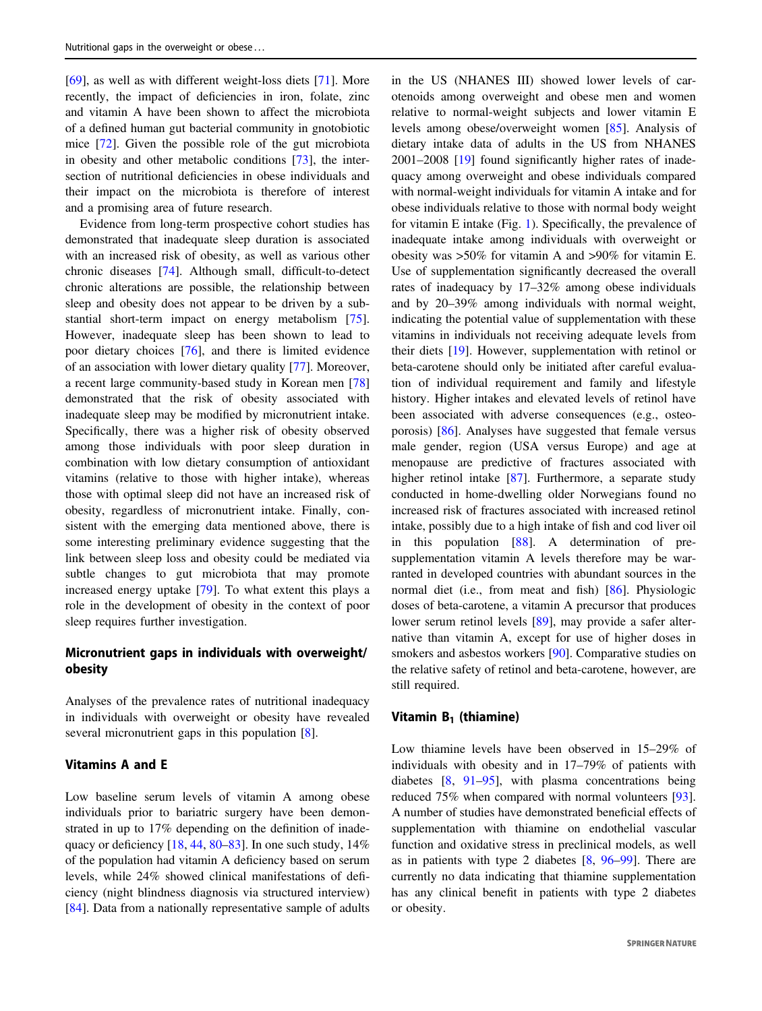[\[69](#page-10-0)], as well as with different weight-loss diets [[71\]](#page-10-0). More recently, the impact of deficiencies in iron, folate, zinc and vitamin A have been shown to affect the microbiota of a defined human gut bacterial community in gnotobiotic mice [[72\]](#page-10-0). Given the possible role of the gut microbiota in obesity and other metabolic conditions [\[73](#page-10-0)], the intersection of nutritional deficiencies in obese individuals and their impact on the microbiota is therefore of interest and a promising area of future research.

Evidence from long-term prospective cohort studies has demonstrated that inadequate sleep duration is associated with an increased risk of obesity, as well as various other chronic diseases [\[74](#page-10-0)]. Although small, difficult-to-detect chronic alterations are possible, the relationship between sleep and obesity does not appear to be driven by a substantial short-term impact on energy metabolism [\[75](#page-10-0)]. However, inadequate sleep has been shown to lead to poor dietary choices [[76\]](#page-10-0), and there is limited evidence of an association with lower dietary quality [\[77](#page-10-0)]. Moreover, a recent large community-based study in Korean men [[78\]](#page-10-0) demonstrated that the risk of obesity associated with inadequate sleep may be modified by micronutrient intake. Specifically, there was a higher risk of obesity observed among those individuals with poor sleep duration in combination with low dietary consumption of antioxidant vitamins (relative to those with higher intake), whereas those with optimal sleep did not have an increased risk of obesity, regardless of micronutrient intake. Finally, consistent with the emerging data mentioned above, there is some interesting preliminary evidence suggesting that the link between sleep loss and obesity could be mediated via subtle changes to gut microbiota that may promote increased energy uptake [\[79](#page-10-0)]. To what extent this plays a role in the development of obesity in the context of poor sleep requires further investigation.

## Micronutrient gaps in individuals with overweight/ obesity

Analyses of the prevalence rates of nutritional inadequacy in individuals with overweight or obesity have revealed several micronutrient gaps in this population [\[8](#page-9-0)].

#### Vitamins A and E

Low baseline serum levels of vitamin A among obese individuals prior to bariatric surgery have been demonstrated in up to 17% depending on the definition of inadequacy or deficiency  $[18, 44, 80-83]$  $[18, 44, 80-83]$  $[18, 44, 80-83]$  $[18, 44, 80-83]$  $[18, 44, 80-83]$  $[18, 44, 80-83]$  $[18, 44, 80-83]$  $[18, 44, 80-83]$ . In one such study,  $14\%$ of the population had vitamin A deficiency based on serum levels, while 24% showed clinical manifestations of deficiency (night blindness diagnosis via structured interview) [\[84](#page-10-0)]. Data from a nationally representative sample of adults in the US (NHANES III) showed lower levels of carotenoids among overweight and obese men and women relative to normal-weight subjects and lower vitamin E levels among obese/overweight women [[85\]](#page-10-0). Analysis of dietary intake data of adults in the US from NHANES 2001–2008 [\[19](#page-9-0)] found significantly higher rates of inadequacy among overweight and obese individuals compared with normal-weight individuals for vitamin A intake and for obese individuals relative to those with normal body weight for vitamin E intake (Fig. [1\)](#page-1-0). Specifically, the prevalence of inadequate intake among individuals with overweight or obesity was >50% for vitamin A and >90% for vitamin E. Use of supplementation significantly decreased the overall rates of inadequacy by 17–32% among obese individuals and by 20–39% among individuals with normal weight, indicating the potential value of supplementation with these vitamins in individuals not receiving adequate levels from their diets [[19\]](#page-9-0). However, supplementation with retinol or beta-carotene should only be initiated after careful evaluation of individual requirement and family and lifestyle history. Higher intakes and elevated levels of retinol have been associated with adverse consequences (e.g., osteoporosis) [[86\]](#page-11-0). Analyses have suggested that female versus male gender, region (USA versus Europe) and age at menopause are predictive of fractures associated with higher retinol intake [\[87](#page-11-0)]. Furthermore, a separate study conducted in home-dwelling older Norwegians found no increased risk of fractures associated with increased retinol intake, possibly due to a high intake of fish and cod liver oil in this population [\[88](#page-11-0)]. A determination of presupplementation vitamin A levels therefore may be warranted in developed countries with abundant sources in the normal diet (i.e., from meat and fish) [[86\]](#page-11-0). Physiologic doses of beta-carotene, a vitamin A precursor that produces lower serum retinol levels [\[89](#page-11-0)], may provide a safer alternative than vitamin A, except for use of higher doses in smokers and asbestos workers [\[90](#page-11-0)]. Comparative studies on the relative safety of retinol and beta-carotene, however, are still required.

## Vitamin  $B_1$  (thiamine)

Low thiamine levels have been observed in 15–29% of individuals with obesity and in 17–79% of patients with diabetes [\[8](#page-9-0), [91](#page-11-0)–[95](#page-11-0)], with plasma concentrations being reduced 75% when compared with normal volunteers [[93\]](#page-11-0). A number of studies have demonstrated beneficial effects of supplementation with thiamine on endothelial vascular function and oxidative stress in preclinical models, as well as in patients with type 2 diabetes [\[8](#page-9-0), [96](#page-11-0)–[99\]](#page-11-0). There are currently no data indicating that thiamine supplementation has any clinical benefit in patients with type 2 diabetes or obesity.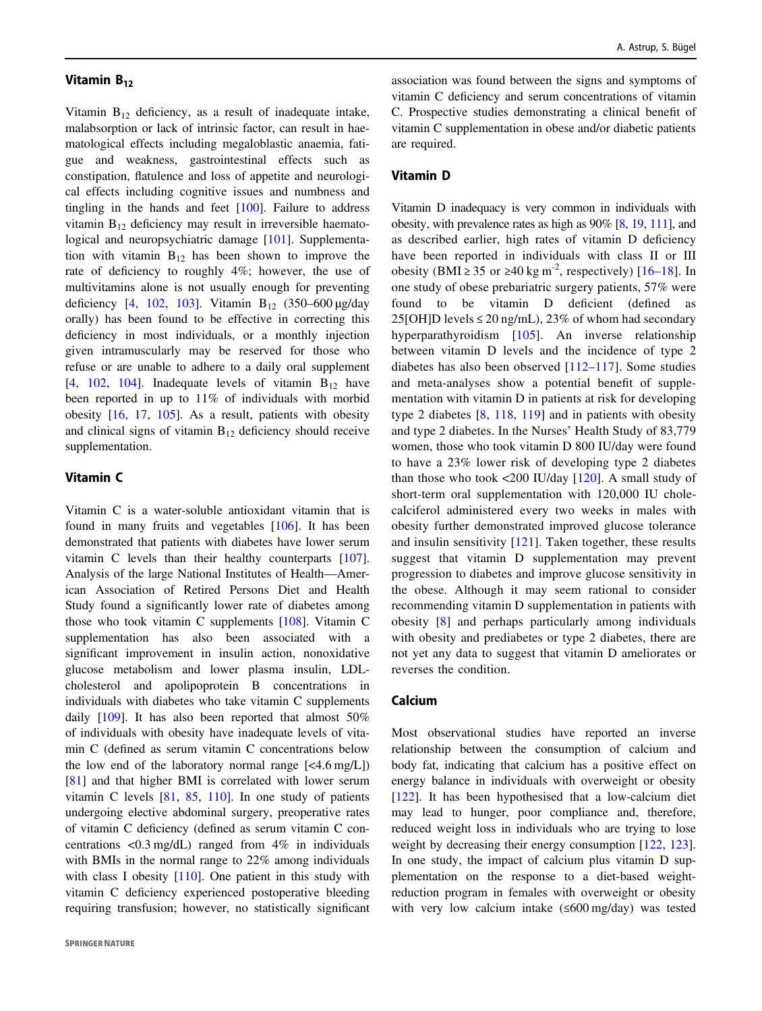#### Vitamin  $B_{12}$

Vitamin  $B_{12}$  deficiency, as a result of inadequate intake, malabsorption or lack of intrinsic factor, can result in haematological effects including megaloblastic anaemia, fatigue and weakness, gastrointestinal effects such as constipation, flatulence and loss of appetite and neurological effects including cognitive issues and numbness and tingling in the hands and feet  $[100]$  $[100]$ . Failure to address vitamin  $B_{12}$  deficiency may result in irreversible haemato-logical and neuropsychiatric damage [\[101](#page-11-0)]. Supplementation with vitamin  $B_{12}$  has been shown to improve the rate of deficiency to roughly 4%; however, the use of multivitamins alone is not usually enough for preventing deficiency [[4,](#page-8-0) [102](#page-11-0), [103\]](#page-11-0). Vitamin  $B_{12}$  (350–600 µg/day orally) has been found to be effective in correcting this deficiency in most individuals, or a monthly injection given intramuscularly may be reserved for those who refuse or are unable to adhere to a daily oral supplement [\[4](#page-8-0), [102](#page-11-0), [104](#page-11-0)]. Inadequate levels of vitamin  $B_{12}$  have been reported in up to 11% of individuals with morbid obesity [[16,](#page-9-0) [17](#page-9-0), [105](#page-11-0)]. As a result, patients with obesity and clinical signs of vitamin  $B_{12}$  deficiency should receive supplementation.

## Vitamin C

Vitamin C is a water-soluble antioxidant vitamin that is found in many fruits and vegetables [\[106](#page-11-0)]. It has been demonstrated that patients with diabetes have lower serum vitamin C levels than their healthy counterparts [\[107](#page-11-0)]. Analysis of the large National Institutes of Health—American Association of Retired Persons Diet and Health Study found a significantly lower rate of diabetes among those who took vitamin C supplements [\[108](#page-11-0)]. Vitamin C supplementation has also been associated with a significant improvement in insulin action, nonoxidative glucose metabolism and lower plasma insulin, LDLcholesterol and apolipoprotein B concentrations in individuals with diabetes who take vitamin C supplements daily [\[109](#page-11-0)]. It has also been reported that almost 50% of individuals with obesity have inadequate levels of vitamin C (defined as serum vitamin C concentrations below the low end of the laboratory normal range  $\leq 4.6 \text{ mg/L}$ [\[81](#page-10-0)] and that higher BMI is correlated with lower serum vitamin C levels [[81,](#page-10-0) [85](#page-10-0), [110](#page-11-0)]. In one study of patients undergoing elective abdominal surgery, preoperative rates of vitamin C deficiency (defined as serum vitamin C concentrations  $\langle 0.3 \text{ mg/dL} \rangle$  ranged from 4% in individuals with BMIs in the normal range to 22% among individuals with class I obesity  $[110]$  $[110]$ . One patient in this study with vitamin C deficiency experienced postoperative bleeding requiring transfusion; however, no statistically significant

association was found between the signs and symptoms of vitamin C deficiency and serum concentrations of vitamin C. Prospective studies demonstrating a clinical benefit of vitamin C supplementation in obese and/or diabetic patients are required.

## Vitamin D

Vitamin D inadequacy is very common in individuals with obesity, with prevalence rates as high as 90% [\[8,](#page-9-0) [19](#page-9-0), [111](#page-11-0)], and as described earlier, high rates of vitamin D deficiency have been reported in individuals with class II or III obesity (BMI ≥ 35 or ≥40 kg m<sup>-2</sup>, respectively) [[16](#page-9-0)–[18\]](#page-9-0). In one study of obese prebariatric surgery patients, 57% were found to be vitamin D deficient (defined as  $25[OH]D$  levels  $\leq 20$  ng/mL),  $23\%$  of whom had secondary hyperparathyroidism [[105](#page-11-0)]. An inverse relationship between vitamin D levels and the incidence of type 2 diabetes has also been observed [[112](#page-11-0)–[117\]](#page-11-0). Some studies and meta-analyses show a potential benefit of supplementation with vitamin D in patients at risk for developing type 2 diabetes [\[8](#page-9-0), [118,](#page-11-0) [119\]](#page-11-0) and in patients with obesity and type 2 diabetes. In the Nurses' Health Study of 83,779 women, those who took vitamin D 800 IU/day were found to have a 23% lower risk of developing type 2 diabetes than those who took <200 IU/day  $[120]$ . A small study of short-term oral supplementation with 120,000 IU cholecalciferol administered every two weeks in males with obesity further demonstrated improved glucose tolerance and insulin sensitivity  $[121]$  $[121]$ . Taken together, these results suggest that vitamin D supplementation may prevent progression to diabetes and improve glucose sensitivity in the obese. Although it may seem rational to consider recommending vitamin D supplementation in patients with obesity [\[8](#page-9-0)] and perhaps particularly among individuals with obesity and prediabetes or type 2 diabetes, there are not yet any data to suggest that vitamin D ameliorates or reverses the condition.

#### Calcium

Most observational studies have reported an inverse relationship between the consumption of calcium and body fat, indicating that calcium has a positive effect on energy balance in individuals with overweight or obesity [\[122](#page-12-0)]. It has been hypothesised that a low-calcium diet may lead to hunger, poor compliance and, therefore, reduced weight loss in individuals who are trying to lose weight by decreasing their energy consumption [\[122](#page-12-0), [123\]](#page-12-0). In one study, the impact of calcium plus vitamin D supplementation on the response to a diet-based weightreduction program in females with overweight or obesity with very low calcium intake (≤600 mg/day) was tested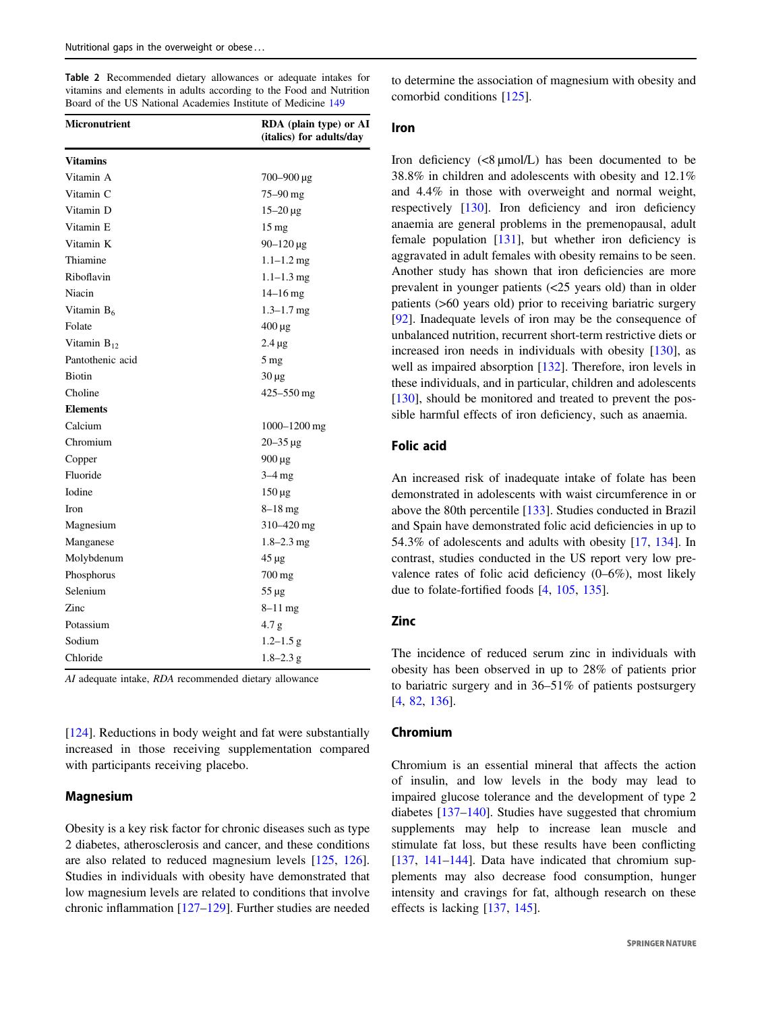<span id="page-6-0"></span>Table 2 Recommended dietary allowances or adequate intakes for vitamins and elements in adults according to the Food and Nutrition Board of the US National Academies Institute of Medicine [149](#page-12-0)

| <b>Micronutrient</b> | RDA (plain type) or AI<br>(italics) for adults/day |
|----------------------|----------------------------------------------------|
| <b>Vitamins</b>      |                                                    |
| Vitamin A            | $700 - 900 \,\mu g$                                |
| Vitamin C            | 75–90 mg                                           |
| Vitamin D            | $15 - 20 \mu g$                                    |
| Vitamin E            | 15 <sub>mg</sub>                                   |
| Vitamin K            | 90-120 μg                                          |
| Thiamine             | $1.1 - 1.2$ mg                                     |
| Riboflavin           | $1.1 - 1.3$ mg                                     |
| Niacin               | $14 - 16$ mg                                       |
| Vitamin $B_6$        | $1.3 - 1.7$ mg                                     |
| Folate               | $400 \mu$ g                                        |
| Vitamin $B_{12}$     | $2.4 \mu$ g                                        |
| Pantothenic acid     | 5 <sub>mg</sub>                                    |
| <b>Biotin</b>        | $30 \mu g$                                         |
| Choline              | $425 - 550$ mg                                     |
| <b>Elements</b>      |                                                    |
| Calcium              | $1000 - 1200$ mg                                   |
| Chromium             | $20 - 35 \mu g$                                    |
| Copper               | $900 \mu g$                                        |
| Fluoride             | $3-4$ mg                                           |
| Iodine               | $150 \mu g$                                        |
| Iron                 | $8-18$ mg                                          |
| Magnesium            | 310–420 mg                                         |
| Manganese            | $1.8 - 2.3$ mg                                     |
| Molybdenum           | $45 \mu g$                                         |
| Phosphorus           | 700 mg                                             |
| Selenium             | $55 \mu g$                                         |
| Zinc                 | $8 - 11$ mg                                        |
| Potassium            | 4.7 <sub>g</sub>                                   |
| Sodium               | $1.2 - 1.5$ g                                      |
| Chloride             | $1.8 - 2.3$ g                                      |

AI adequate intake, RDA recommended dietary allowance

[\[124](#page-12-0)]. Reductions in body weight and fat were substantially increased in those receiving supplementation compared with participants receiving placebo.

# Magnesium

Obesity is a key risk factor for chronic diseases such as type 2 diabetes, atherosclerosis and cancer, and these conditions are also related to reduced magnesium levels [[125,](#page-12-0) [126](#page-12-0)]. Studies in individuals with obesity have demonstrated that low magnesium levels are related to conditions that involve chronic inflammation [[127](#page-12-0)–[129\]](#page-12-0). Further studies are needed to determine the association of magnesium with obesity and comorbid conditions [\[125](#page-12-0)].

### Iron

Iron deficiency (<8 μmol/L) has been documented to be 38.8% in children and adolescents with obesity and 12.1% and 4.4% in those with overweight and normal weight, respectively [\[130](#page-12-0)]. Iron deficiency and iron deficiency anaemia are general problems in the premenopausal, adult female population [\[131](#page-12-0)], but whether iron deficiency is aggravated in adult females with obesity remains to be seen. Another study has shown that iron deficiencies are more prevalent in younger patients (<25 years old) than in older patients (>60 years old) prior to receiving bariatric surgery [\[92](#page-11-0)]. Inadequate levels of iron may be the consequence of unbalanced nutrition, recurrent short-term restrictive diets or increased iron needs in individuals with obesity [\[130](#page-12-0)], as well as impaired absorption [[132\]](#page-12-0). Therefore, iron levels in these individuals, and in particular, children and adolescents [\[130](#page-12-0)], should be monitored and treated to prevent the possible harmful effects of iron deficiency, such as anaemia.

# Folic acid

An increased risk of inadequate intake of folate has been demonstrated in adolescents with waist circumference in or above the 80th percentile [[133\]](#page-12-0). Studies conducted in Brazil and Spain have demonstrated folic acid deficiencies in up to 54.3% of adolescents and adults with obesity [\[17](#page-9-0), [134](#page-12-0)]. In contrast, studies conducted in the US report very low prevalence rates of folic acid deficiency (0–6%), most likely due to folate-fortified foods [[4,](#page-8-0) [105,](#page-11-0) [135\]](#page-12-0).

## Zinc

The incidence of reduced serum zinc in individuals with obesity has been observed in up to 28% of patients prior to bariatric surgery and in 36–51% of patients postsurgery [\[4](#page-8-0), [82](#page-10-0), [136\]](#page-12-0).

## Chromium

Chromium is an essential mineral that affects the action of insulin, and low levels in the body may lead to impaired glucose tolerance and the development of type 2 diabetes [[137](#page-12-0)–[140\]](#page-12-0). Studies have suggested that chromium supplements may help to increase lean muscle and stimulate fat loss, but these results have been conflicting [\[137](#page-12-0), [141](#page-12-0)–[144](#page-12-0)]. Data have indicated that chromium supplements may also decrease food consumption, hunger intensity and cravings for fat, although research on these effects is lacking [\[137](#page-12-0), [145\]](#page-12-0).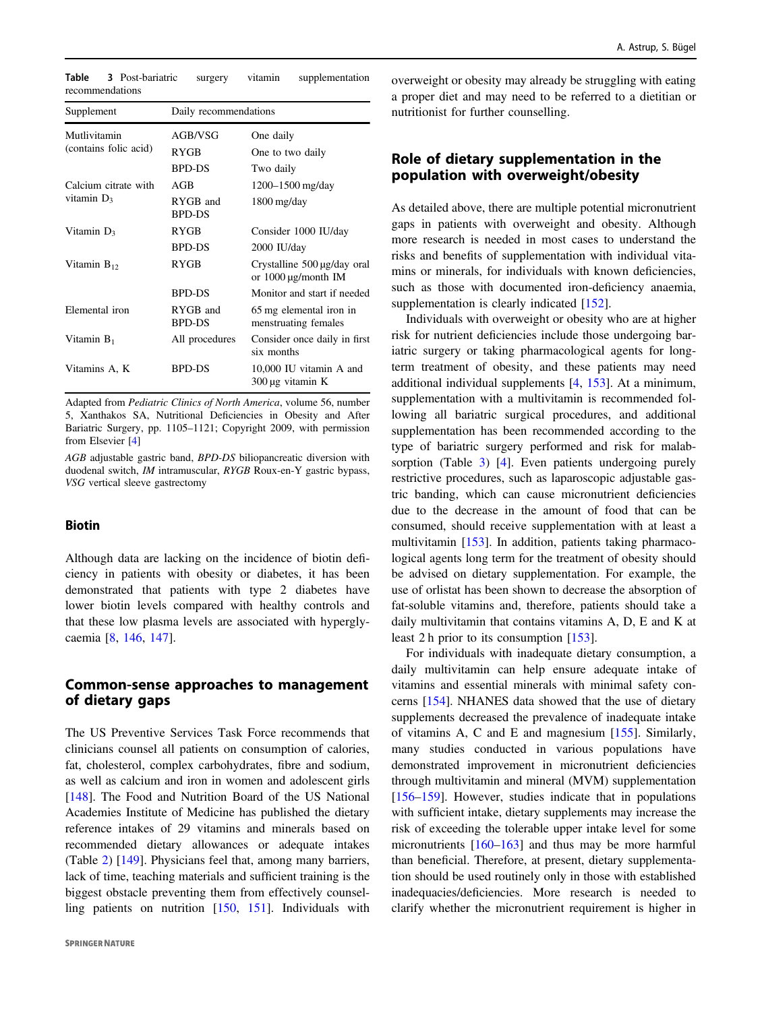Table 3 Post-bariatric surgery vitamin supplementation recommendations

| Supplement                            | Daily recommendations     |                                                       |
|---------------------------------------|---------------------------|-------------------------------------------------------|
| Mutlivitamin<br>(contains folic acid) | AGB/VSG<br><b>RYGB</b>    | One daily<br>One to two daily                         |
|                                       | <b>BPD-DS</b>             | Two daily                                             |
| Calcium citrate with                  | AGB                       | 1200–1500 mg/day                                      |
| vitamin $D_3$                         | RYGB and<br><b>BPD-DS</b> | 1800 mg/day                                           |
| Vitamin $D_3$                         | RYGB                      | Consider 1000 IU/day                                  |
|                                       | BPD-DS                    | 2000 IU/day                                           |
| Vitamin $B_{12}$                      | <b>RYGB</b>               | Crystalline 500 µg/day oral<br>or $1000 \mu g/mol$ IM |
|                                       | <b>BPD-DS</b>             | Monitor and start if needed                           |
| Elemental iron                        | RYGB and<br><b>BPD-DS</b> | 65 mg elemental iron in<br>menstruating females       |
| Vitamin $B_1$                         | All procedures            | Consider once daily in first<br>six months            |
| Vitamins A, K                         | <b>BPD-DS</b>             | 10,000 IU vitamin A and<br>$300 \mu$ g vitamin K      |

Adapted from Pediatric Clinics of North America, volume 56, number 5, Xanthakos SA, Nutritional Deficiencies in Obesity and After Bariatric Surgery, pp. 1105–1121; Copyright 2009, with permission from Elsevier [[4](#page-8-0)]

AGB adjustable gastric band, BPD-DS biliopancreatic diversion with duodenal switch, IM intramuscular, RYGB Roux-en-Y gastric bypass, VSG vertical sleeve gastrectomy

#### Biotin

Although data are lacking on the incidence of biotin deficiency in patients with obesity or diabetes, it has been demonstrated that patients with type 2 diabetes have lower biotin levels compared with healthy controls and that these low plasma levels are associated with hyperglycaemia [\[8](#page-9-0), [146](#page-12-0), [147\]](#page-12-0).

## Common-sense approaches to management of dietary gaps

The US Preventive Services Task Force recommends that clinicians counsel all patients on consumption of calories, fat, cholesterol, complex carbohydrates, fibre and sodium, as well as calcium and iron in women and adolescent girls [\[148](#page-12-0)]. The Food and Nutrition Board of the US National Academies Institute of Medicine has published the dietary reference intakes of 29 vitamins and minerals based on recommended dietary allowances or adequate intakes (Table [2\)](#page-6-0) [\[149](#page-12-0)]. Physicians feel that, among many barriers, lack of time, teaching materials and sufficient training is the biggest obstacle preventing them from effectively counselling patients on nutrition [[150,](#page-12-0) [151\]](#page-12-0). Individuals with overweight or obesity may already be struggling with eating a proper diet and may need to be referred to a dietitian or nutritionist for further counselling.

# Role of dietary supplementation in the population with overweight/obesity

As detailed above, there are multiple potential micronutrient gaps in patients with overweight and obesity. Although more research is needed in most cases to understand the risks and benefits of supplementation with individual vitamins or minerals, for individuals with known deficiencies, such as those with documented iron-deficiency anaemia, supplementation is clearly indicated [[152](#page-12-0)].

Individuals with overweight or obesity who are at higher risk for nutrient deficiencies include those undergoing bariatric surgery or taking pharmacological agents for longterm treatment of obesity, and these patients may need additional individual supplements [\[4](#page-8-0), [153\]](#page-12-0). At a minimum, supplementation with a multivitamin is recommended following all bariatric surgical procedures, and additional supplementation has been recommended according to the type of bariatric surgery performed and risk for malab-sorption (Table 3) [\[4](#page-8-0)]. Even patients undergoing purely restrictive procedures, such as laparoscopic adjustable gastric banding, which can cause micronutrient deficiencies due to the decrease in the amount of food that can be consumed, should receive supplementation with at least a multivitamin [\[153](#page-12-0)]. In addition, patients taking pharmacological agents long term for the treatment of obesity should be advised on dietary supplementation. For example, the use of orlistat has been shown to decrease the absorption of fat-soluble vitamins and, therefore, patients should take a daily multivitamin that contains vitamins A, D, E and K at least 2 h prior to its consumption [[153\]](#page-12-0).

For individuals with inadequate dietary consumption, a daily multivitamin can help ensure adequate intake of vitamins and essential minerals with minimal safety concerns [[154\]](#page-12-0). NHANES data showed that the use of dietary supplements decreased the prevalence of inadequate intake of vitamins A, C and E and magnesium [\[155](#page-12-0)]. Similarly, many studies conducted in various populations have demonstrated improvement in micronutrient deficiencies through multivitamin and mineral (MVM) supplementation [\[156](#page-12-0)–[159](#page-12-0)]. However, studies indicate that in populations with sufficient intake, dietary supplements may increase the risk of exceeding the tolerable upper intake level for some micronutrients [\[160](#page-13-0)–[163](#page-13-0)] and thus may be more harmful than beneficial. Therefore, at present, dietary supplementation should be used routinely only in those with established inadequacies/deficiencies. More research is needed to clarify whether the micronutrient requirement is higher in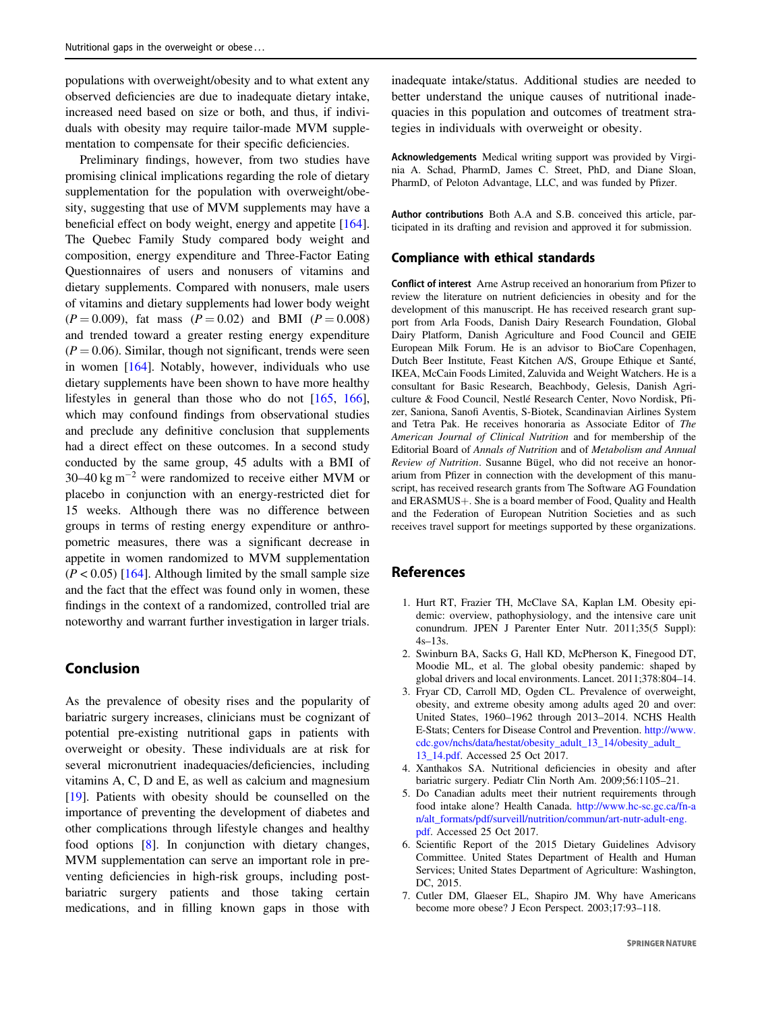<span id="page-8-0"></span>populations with overweight/obesity and to what extent any observed deficiencies are due to inadequate dietary intake, increased need based on size or both, and thus, if individuals with obesity may require tailor-made MVM supplementation to compensate for their specific deficiencies.

Preliminary findings, however, from two studies have promising clinical implications regarding the role of dietary supplementation for the population with overweight/obesity, suggesting that use of MVM supplements may have a beneficial effect on body weight, energy and appetite [\[164](#page-13-0)]. The Quebec Family Study compared body weight and composition, energy expenditure and Three-Factor Eating Questionnaires of users and nonusers of vitamins and dietary supplements. Compared with nonusers, male users of vitamins and dietary supplements had lower body weight  $(P = 0.009)$ , fat mass  $(P = 0.02)$  and BMI  $(P = 0.008)$ and trended toward a greater resting energy expenditure  $(P = 0.06)$ . Similar, though not significant, trends were seen in women [\[164](#page-13-0)]. Notably, however, individuals who use dietary supplements have been shown to have more healthy lifestyles in general than those who do not [[165,](#page-13-0) [166](#page-13-0)], which may confound findings from observational studies and preclude any definitive conclusion that supplements had a direct effect on these outcomes. In a second study conducted by the same group, 45 adults with a BMI of 30–40 kg m<sup> $-2$ </sup> were randomized to receive either MVM or placebo in conjunction with an energy-restricted diet for 15 weeks. Although there was no difference between groups in terms of resting energy expenditure or anthropometric measures, there was a significant decrease in appetite in women randomized to MVM supplementation  $(P < 0.05)$  [[164](#page-13-0)]. Although limited by the small sample size and the fact that the effect was found only in women, these findings in the context of a randomized, controlled trial are noteworthy and warrant further investigation in larger trials.

# Conclusion

As the prevalence of obesity rises and the popularity of bariatric surgery increases, clinicians must be cognizant of potential pre-existing nutritional gaps in patients with overweight or obesity. These individuals are at risk for several micronutrient inadequacies/deficiencies, including vitamins A, C, D and E, as well as calcium and magnesium [\[19](#page-9-0)]. Patients with obesity should be counselled on the importance of preventing the development of diabetes and other complications through lifestyle changes and healthy food options [[8\]](#page-9-0). In conjunction with dietary changes, MVM supplementation can serve an important role in preventing deficiencies in high-risk groups, including postbariatric surgery patients and those taking certain medications, and in filling known gaps in those with

inadequate intake/status. Additional studies are needed to better understand the unique causes of nutritional inadequacies in this population and outcomes of treatment strategies in individuals with overweight or obesity.

Acknowledgements Medical writing support was provided by Virginia A. Schad, PharmD, James C. Street, PhD, and Diane Sloan, PharmD, of Peloton Advantage, LLC, and was funded by Pfizer.

Author contributions Both A.A and S.B. conceived this article, participated in its drafting and revision and approved it for submission.

## Compliance with ethical standards

Conflict of interest Arne Astrup received an honorarium from Pfizer to review the literature on nutrient deficiencies in obesity and for the development of this manuscript. He has received research grant support from Arla Foods, Danish Dairy Research Foundation, Global Dairy Platform, Danish Agriculture and Food Council and GEIE European Milk Forum. He is an advisor to BioCare Copenhagen, Dutch Beer Institute, Feast Kitchen A/S, Groupe Ethique et Santé, IKEA, McCain Foods Limited, Zaluvida and Weight Watchers. He is a consultant for Basic Research, Beachbody, Gelesis, Danish Agriculture & Food Council, Nestlé Research Center, Novo Nordisk, Pfizer, Saniona, Sanofi Aventis, S-Biotek, Scandinavian Airlines System and Tetra Pak. He receives honoraria as Associate Editor of The American Journal of Clinical Nutrition and for membership of the Editorial Board of Annals of Nutrition and of Metabolism and Annual Review of Nutrition. Susanne Bügel, who did not receive an honorarium from Pfizer in connection with the development of this manuscript, has received research grants from The Software AG Foundation and ERASMUS+. She is a board member of Food, Quality and Health and the Federation of European Nutrition Societies and as such receives travel support for meetings supported by these organizations.

## References

- 1. Hurt RT, Frazier TH, McClave SA, Kaplan LM. Obesity epidemic: overview, pathophysiology, and the intensive care unit conundrum. JPEN J Parenter Enter Nutr. 2011;35(5 Suppl):  $4s - 13s$
- 2. Swinburn BA, Sacks G, Hall KD, McPherson K, Finegood DT, Moodie ML, et al. The global obesity pandemic: shaped by global drivers and local environments. Lancet. 2011;378:804–14.
- 3. Fryar CD, Carroll MD, Ogden CL. Prevalence of overweight, obesity, and extreme obesity among adults aged 20 and over: United States, 1960–1962 through 2013–2014. NCHS Health E-Stats; Centers for Disease Control and Prevention. [http://www.](http://www.cdc.gov/nchs/data/hestat/obesity_adult_13_14/obesity_adult_13_14.pdf) [cdc.gov/nchs/data/hestat/obesity\\_adult\\_13\\_14/obesity\\_adult\\_](http://www.cdc.gov/nchs/data/hestat/obesity_adult_13_14/obesity_adult_13_14.pdf) [13\\_14.pdf.](http://www.cdc.gov/nchs/data/hestat/obesity_adult_13_14/obesity_adult_13_14.pdf) Accessed 25 Oct 2017.
- 4. Xanthakos SA. Nutritional deficiencies in obesity and after bariatric surgery. Pediatr Clin North Am. 2009;56:1105–21.
- 5. Do Canadian adults meet their nutrient requirements through food intake alone? Health Canada. [http://www.hc-sc.gc.ca/fn-a](http://www.hc-sc.gc.ca/fn-an/alt_formats/pdf/surveill/nutrition/commun/art-nutr-adult-eng.pdf) [n/alt\\_formats/pdf/surveill/nutrition/commun/art-nutr-adult-eng.](http://www.hc-sc.gc.ca/fn-an/alt_formats/pdf/surveill/nutrition/commun/art-nutr-adult-eng.pdf) [pdf](http://www.hc-sc.gc.ca/fn-an/alt_formats/pdf/surveill/nutrition/commun/art-nutr-adult-eng.pdf). Accessed 25 Oct 2017.
- 6. Scientific Report of the 2015 Dietary Guidelines Advisory Committee. United States Department of Health and Human Services; United States Department of Agriculture: Washington, DC, 2015.
- 7. Cutler DM, Glaeser EL, Shapiro JM. Why have Americans become more obese? J Econ Perspect. 2003;17:93–118.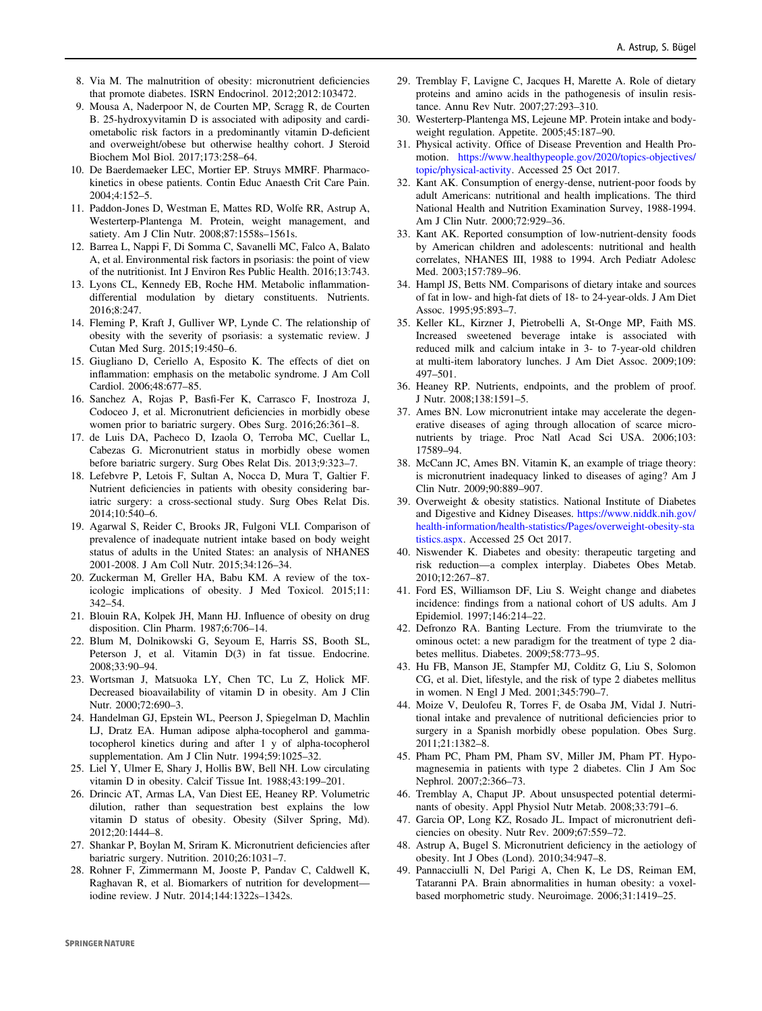- <span id="page-9-0"></span>8. Via M. The malnutrition of obesity: micronutrient deficiencies that promote diabetes. ISRN Endocrinol. 2012;2012:103472.
- 9. Mousa A, Naderpoor N, de Courten MP, Scragg R, de Courten B. 25-hydroxyvitamin D is associated with adiposity and cardiometabolic risk factors in a predominantly vitamin D-deficient and overweight/obese but otherwise healthy cohort. J Steroid Biochem Mol Biol. 2017;173:258–64.
- 10. De Baerdemaeker LEC, Mortier EP. Struys MMRF. Pharmacokinetics in obese patients. Contin Educ Anaesth Crit Care Pain. 2004;4:152–5.
- 11. Paddon-Jones D, Westman E, Mattes RD, Wolfe RR, Astrup A, Westerterp-Plantenga M. Protein, weight management, and satiety. Am J Clin Nutr. 2008;87:1558s–1561s.
- 12. Barrea L, Nappi F, Di Somma C, Savanelli MC, Falco A, Balato A, et al. Environmental risk factors in psoriasis: the point of view of the nutritionist. Int J Environ Res Public Health. 2016;13:743.
- 13. Lyons CL, Kennedy EB, Roche HM. Metabolic inflammationdifferential modulation by dietary constituents. Nutrients. 2016;8:247.
- 14. Fleming P, Kraft J, Gulliver WP, Lynde C. The relationship of obesity with the severity of psoriasis: a systematic review. J Cutan Med Surg. 2015;19:450–6.
- 15. Giugliano D, Ceriello A, Esposito K. The effects of diet on inflammation: emphasis on the metabolic syndrome. J Am Coll Cardiol. 2006;48:677–85.
- 16. Sanchez A, Rojas P, Basfi-Fer K, Carrasco F, Inostroza J, Codoceo J, et al. Micronutrient deficiencies in morbidly obese women prior to bariatric surgery. Obes Surg. 2016;26:361–8.
- 17. de Luis DA, Pacheco D, Izaola O, Terroba MC, Cuellar L, Cabezas G. Micronutrient status in morbidly obese women before bariatric surgery. Surg Obes Relat Dis. 2013;9:323–7.
- 18. Lefebvre P, Letois F, Sultan A, Nocca D, Mura T, Galtier F. Nutrient deficiencies in patients with obesity considering bariatric surgery: a cross-sectional study. Surg Obes Relat Dis. 2014;10:540–6.
- 19. Agarwal S, Reider C, Brooks JR, Fulgoni VLI. Comparison of prevalence of inadequate nutrient intake based on body weight status of adults in the United States: an analysis of NHANES 2001-2008. J Am Coll Nutr. 2015;34:126–34.
- 20. Zuckerman M, Greller HA, Babu KM. A review of the toxicologic implications of obesity. J Med Toxicol. 2015;11: 342–54.
- 21. Blouin RA, Kolpek JH, Mann HJ. Influence of obesity on drug disposition. Clin Pharm. 1987;6:706–14.
- 22. Blum M, Dolnikowski G, Seyoum E, Harris SS, Booth SL, Peterson J, et al. Vitamin D(3) in fat tissue. Endocrine. 2008;33:90–94.
- 23. Wortsman J, Matsuoka LY, Chen TC, Lu Z, Holick MF. Decreased bioavailability of vitamin D in obesity. Am J Clin Nutr. 2000;72:690–3.
- 24. Handelman GJ, Epstein WL, Peerson J, Spiegelman D, Machlin LJ, Dratz EA. Human adipose alpha-tocopherol and gammatocopherol kinetics during and after 1 y of alpha-tocopherol supplementation. Am J Clin Nutr. 1994;59:1025–32.
- 25. Liel Y, Ulmer E, Shary J, Hollis BW, Bell NH. Low circulating vitamin D in obesity. Calcif Tissue Int. 1988;43:199–201.
- 26. Drincic AT, Armas LA, Van Diest EE, Heaney RP. Volumetric dilution, rather than sequestration best explains the low vitamin D status of obesity. Obesity (Silver Spring, Md). 2012;20:1444–8.
- 27. Shankar P, Boylan M, Sriram K. Micronutrient deficiencies after bariatric surgery. Nutrition. 2010;26:1031–7.
- 28. Rohner F, Zimmermann M, Jooste P, Pandav C, Caldwell K, Raghavan R, et al. Biomarkers of nutrition for development iodine review. J Nutr. 2014;144:1322s–1342s.
- 29. Tremblay F, Lavigne C, Jacques H, Marette A. Role of dietary proteins and amino acids in the pathogenesis of insulin resistance. Annu Rev Nutr. 2007;27:293–310.
- 30. Westerterp-Plantenga MS, Lejeune MP. Protein intake and bodyweight regulation. Appetite. 2005;45:187–90.
- 31. Physical activity. Office of Disease Prevention and Health Promotion. [https://www.healthypeople.gov/2020/topics-objectives/](https://www.healthypeople.gov/2020/topics-objectives/topic/physical-activity) [topic/physical-activity](https://www.healthypeople.gov/2020/topics-objectives/topic/physical-activity). Accessed 25 Oct 2017.
- 32. Kant AK. Consumption of energy-dense, nutrient-poor foods by adult Americans: nutritional and health implications. The third National Health and Nutrition Examination Survey, 1988-1994. Am J Clin Nutr. 2000;72:929–36.
- 33. Kant AK. Reported consumption of low-nutrient-density foods by American children and adolescents: nutritional and health correlates, NHANES III, 1988 to 1994. Arch Pediatr Adolesc Med. 2003;157:789–96.
- 34. Hampl JS, Betts NM. Comparisons of dietary intake and sources of fat in low- and high-fat diets of 18- to 24-year-olds. J Am Diet Assoc. 1995;95:893–7.
- 35. Keller KL, Kirzner J, Pietrobelli A, St-Onge MP, Faith MS. Increased sweetened beverage intake is associated with reduced milk and calcium intake in 3- to 7-year-old children at multi-item laboratory lunches. J Am Diet Assoc. 2009;109: 497–501.
- 36. Heaney RP. Nutrients, endpoints, and the problem of proof. J Nutr. 2008;138:1591–5.
- 37. Ames BN. Low micronutrient intake may accelerate the degenerative diseases of aging through allocation of scarce micronutrients by triage. Proc Natl Acad Sci USA. 2006;103: 17589–94.
- 38. McCann JC, Ames BN. Vitamin K, an example of triage theory: is micronutrient inadequacy linked to diseases of aging? Am J Clin Nutr. 2009;90:889–907.
- 39. Overweight & obesity statistics. National Institute of Diabetes and Digestive and Kidney Diseases. [https://www.niddk.nih.gov/](https://www.niddk.nih.gov/health-information/health-statistics/Pages/overweight-obesity-statistics.aspx) [health-information/health-statistics/Pages/overweight-obesity-sta](https://www.niddk.nih.gov/health-information/health-statistics/Pages/overweight-obesity-statistics.aspx) [tistics.aspx](https://www.niddk.nih.gov/health-information/health-statistics/Pages/overweight-obesity-statistics.aspx). Accessed 25 Oct 2017.
- 40. Niswender K. Diabetes and obesity: therapeutic targeting and risk reduction—a complex interplay. Diabetes Obes Metab. 2010;12:267–87.
- 41. Ford ES, Williamson DF, Liu S. Weight change and diabetes incidence: findings from a national cohort of US adults. Am J Epidemiol. 1997;146:214–22.
- 42. Defronzo RA. Banting Lecture. From the triumvirate to the ominous octet: a new paradigm for the treatment of type 2 diabetes mellitus. Diabetes. 2009;58:773–95.
- 43. Hu FB, Manson JE, Stampfer MJ, Colditz G, Liu S, Solomon CG, et al. Diet, lifestyle, and the risk of type 2 diabetes mellitus in women. N Engl J Med. 2001;345:790–7.
- 44. Moize V, Deulofeu R, Torres F, de Osaba JM, Vidal J. Nutritional intake and prevalence of nutritional deficiencies prior to surgery in a Spanish morbidly obese population. Obes Surg. 2011;21:1382–8.
- 45. Pham PC, Pham PM, Pham SV, Miller JM, Pham PT. Hypomagnesemia in patients with type 2 diabetes. Clin J Am Soc Nephrol. 2007;2:366–73.
- 46. Tremblay A, Chaput JP. About unsuspected potential determinants of obesity. Appl Physiol Nutr Metab. 2008;33:791–6.
- 47. Garcia OP, Long KZ, Rosado JL. Impact of micronutrient deficiencies on obesity. Nutr Rev. 2009;67:559–72.
- 48. Astrup A, Bugel S. Micronutrient deficiency in the aetiology of obesity. Int J Obes (Lond). 2010;34:947–8.
- 49. Pannacciulli N, Del Parigi A, Chen K, Le DS, Reiman EM, Tataranni PA. Brain abnormalities in human obesity: a voxelbased morphometric study. Neuroimage. 2006;31:1419–25.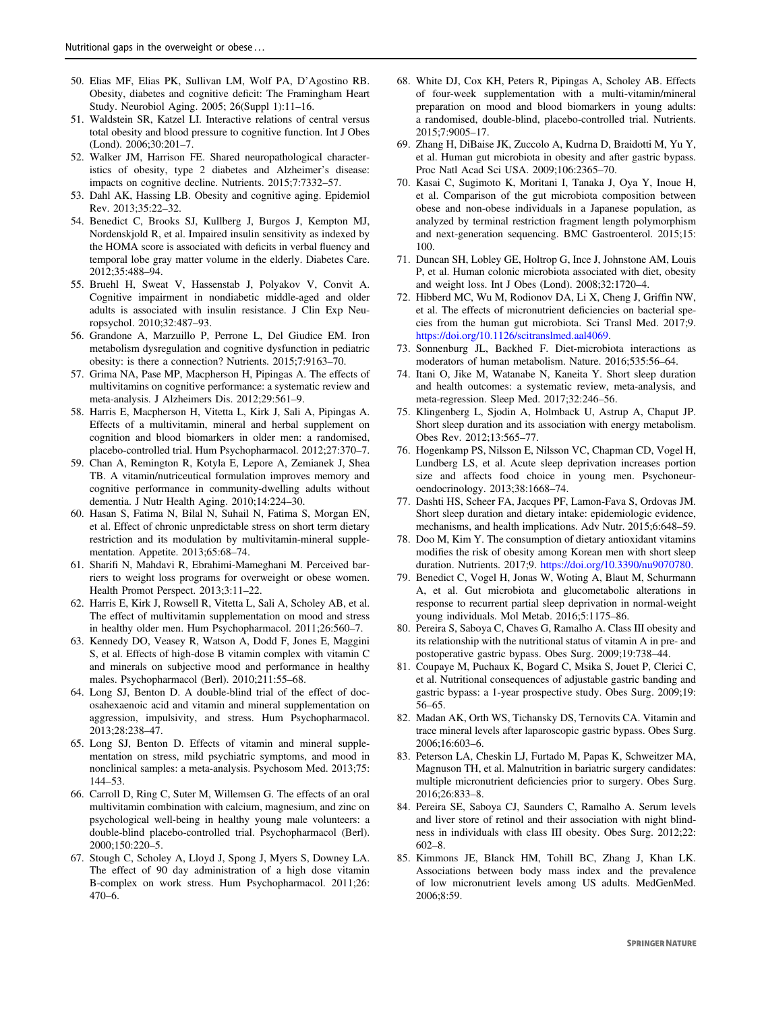- <span id="page-10-0"></span>50. Elias MF, Elias PK, Sullivan LM, Wolf PA, D'Agostino RB. Obesity, diabetes and cognitive deficit: The Framingham Heart Study. Neurobiol Aging. 2005; 26(Suppl 1):11–16.
- 51. Waldstein SR, Katzel LI. Interactive relations of central versus total obesity and blood pressure to cognitive function. Int J Obes (Lond). 2006;30:201–7.
- 52. Walker JM, Harrison FE. Shared neuropathological characteristics of obesity, type 2 diabetes and Alzheimer's disease: impacts on cognitive decline. Nutrients. 2015;7:7332–57.
- 53. Dahl AK, Hassing LB. Obesity and cognitive aging. Epidemiol Rev. 2013;35:22–32.
- 54. Benedict C, Brooks SJ, Kullberg J, Burgos J, Kempton MJ, Nordenskjold R, et al. Impaired insulin sensitivity as indexed by the HOMA score is associated with deficits in verbal fluency and temporal lobe gray matter volume in the elderly. Diabetes Care. 2012;35:488–94.
- 55. Bruehl H, Sweat V, Hassenstab J, Polyakov V, Convit A. Cognitive impairment in nondiabetic middle-aged and older adults is associated with insulin resistance. J Clin Exp Neuropsychol. 2010;32:487–93.
- 56. Grandone A, Marzuillo P, Perrone L, Del Giudice EM. Iron metabolism dysregulation and cognitive dysfunction in pediatric obesity: is there a connection? Nutrients. 2015;7:9163–70.
- 57. Grima NA, Pase MP, Macpherson H, Pipingas A. The effects of multivitamins on cognitive performance: a systematic review and meta-analysis. J Alzheimers Dis. 2012;29:561–9.
- 58. Harris E, Macpherson H, Vitetta L, Kirk J, Sali A, Pipingas A. Effects of a multivitamin, mineral and herbal supplement on cognition and blood biomarkers in older men: a randomised, placebo-controlled trial. Hum Psychopharmacol. 2012;27:370–7.
- 59. Chan A, Remington R, Kotyla E, Lepore A, Zemianek J, Shea TB. A vitamin/nutriceutical formulation improves memory and cognitive performance in community-dwelling adults without dementia. J Nutr Health Aging. 2010;14:224–30.
- 60. Hasan S, Fatima N, Bilal N, Suhail N, Fatima S, Morgan EN, et al. Effect of chronic unpredictable stress on short term dietary restriction and its modulation by multivitamin-mineral supplementation. Appetite. 2013;65:68–74.
- 61. Sharifi N, Mahdavi R, Ebrahimi-Mameghani M. Perceived barriers to weight loss programs for overweight or obese women. Health Promot Perspect. 2013;3:11–22.
- 62. Harris E, Kirk J, Rowsell R, Vitetta L, Sali A, Scholey AB, et al. The effect of multivitamin supplementation on mood and stress in healthy older men. Hum Psychopharmacol. 2011;26:560–7.
- 63. Kennedy DO, Veasey R, Watson A, Dodd F, Jones E, Maggini S, et al. Effects of high-dose B vitamin complex with vitamin C and minerals on subjective mood and performance in healthy males. Psychopharmacol (Berl). 2010;211:55–68.
- 64. Long SJ, Benton D. A double-blind trial of the effect of docosahexaenoic acid and vitamin and mineral supplementation on aggression, impulsivity, and stress. Hum Psychopharmacol. 2013;28:238–47.
- 65. Long SJ, Benton D. Effects of vitamin and mineral supplementation on stress, mild psychiatric symptoms, and mood in nonclinical samples: a meta-analysis. Psychosom Med. 2013;75: 144–53.
- 66. Carroll D, Ring C, Suter M, Willemsen G. The effects of an oral multivitamin combination with calcium, magnesium, and zinc on psychological well-being in healthy young male volunteers: a double-blind placebo-controlled trial. Psychopharmacol (Berl). 2000;150:220–5.
- 67. Stough C, Scholey A, Lloyd J, Spong J, Myers S, Downey LA. The effect of 90 day administration of a high dose vitamin B-complex on work stress. Hum Psychopharmacol. 2011;26: 470–6.
- 68. White DJ, Cox KH, Peters R, Pipingas A, Scholey AB. Effects of four-week supplementation with a multi-vitamin/mineral preparation on mood and blood biomarkers in young adults: a randomised, double-blind, placebo-controlled trial. Nutrients. 2015;7:9005–17.
- 69. Zhang H, DiBaise JK, Zuccolo A, Kudrna D, Braidotti M, Yu Y, et al. Human gut microbiota in obesity and after gastric bypass. Proc Natl Acad Sci USA. 2009;106:2365–70.
- 70. Kasai C, Sugimoto K, Moritani I, Tanaka J, Oya Y, Inoue H, et al. Comparison of the gut microbiota composition between obese and non-obese individuals in a Japanese population, as analyzed by terminal restriction fragment length polymorphism and next-generation sequencing. BMC Gastroenterol. 2015;15: 100.
- 71. Duncan SH, Lobley GE, Holtrop G, Ince J, Johnstone AM, Louis P, et al. Human colonic microbiota associated with diet, obesity and weight loss. Int J Obes (Lond). 2008;32:1720–4.
- 72. Hibberd MC, Wu M, Rodionov DA, Li X, Cheng J, Griffin NW, et al. The effects of micronutrient deficiencies on bacterial species from the human gut microbiota. Sci Transl Med. 2017;9. [https://doi.org/10.1126/scitranslmed.aal4069.](https://doi.org/10.1126/scitranslmed.aal4069)
- 73. Sonnenburg JL, Backhed F. Diet-microbiota interactions as moderators of human metabolism. Nature. 2016;535:56–64.
- 74. Itani O, Jike M, Watanabe N, Kaneita Y. Short sleep duration and health outcomes: a systematic review, meta-analysis, and meta-regression. Sleep Med. 2017;32:246–56.
- 75. Klingenberg L, Sjodin A, Holmback U, Astrup A, Chaput JP. Short sleep duration and its association with energy metabolism. Obes Rev. 2012;13:565–77.
- 76. Hogenkamp PS, Nilsson E, Nilsson VC, Chapman CD, Vogel H, Lundberg LS, et al. Acute sleep deprivation increases portion size and affects food choice in young men. Psychoneuroendocrinology. 2013;38:1668–74.
- 77. Dashti HS, Scheer FA, Jacques PF, Lamon-Fava S, Ordovas JM. Short sleep duration and dietary intake: epidemiologic evidence, mechanisms, and health implications. Adv Nutr. 2015;6:648–59.
- 78. Doo M, Kim Y. The consumption of dietary antioxidant vitamins modifies the risk of obesity among Korean men with short sleep duration. Nutrients. 2017;9. <https://doi.org/10.3390/nu9070780>.
- 79. Benedict C, Vogel H, Jonas W, Woting A, Blaut M, Schurmann A, et al. Gut microbiota and glucometabolic alterations in response to recurrent partial sleep deprivation in normal-weight young individuals. Mol Metab. 2016;5:1175–86.
- 80. Pereira S, Saboya C, Chaves G, Ramalho A. Class III obesity and its relationship with the nutritional status of vitamin A in pre- and postoperative gastric bypass. Obes Surg. 2009;19:738–44.
- 81. Coupaye M, Puchaux K, Bogard C, Msika S, Jouet P, Clerici C, et al. Nutritional consequences of adjustable gastric banding and gastric bypass: a 1-year prospective study. Obes Surg. 2009;19: 56–65.
- 82. Madan AK, Orth WS, Tichansky DS, Ternovits CA. Vitamin and trace mineral levels after laparoscopic gastric bypass. Obes Surg. 2006;16:603–6.
- 83. Peterson LA, Cheskin LJ, Furtado M, Papas K, Schweitzer MA, Magnuson TH, et al. Malnutrition in bariatric surgery candidates: multiple micronutrient deficiencies prior to surgery. Obes Surg. 2016;26:833–8.
- 84. Pereira SE, Saboya CJ, Saunders C, Ramalho A. Serum levels and liver store of retinol and their association with night blindness in individuals with class III obesity. Obes Surg. 2012;22: 602–8.
- 85. Kimmons JE, Blanck HM, Tohill BC, Zhang J, Khan LK. Associations between body mass index and the prevalence of low micronutrient levels among US adults. MedGenMed. 2006;8:59.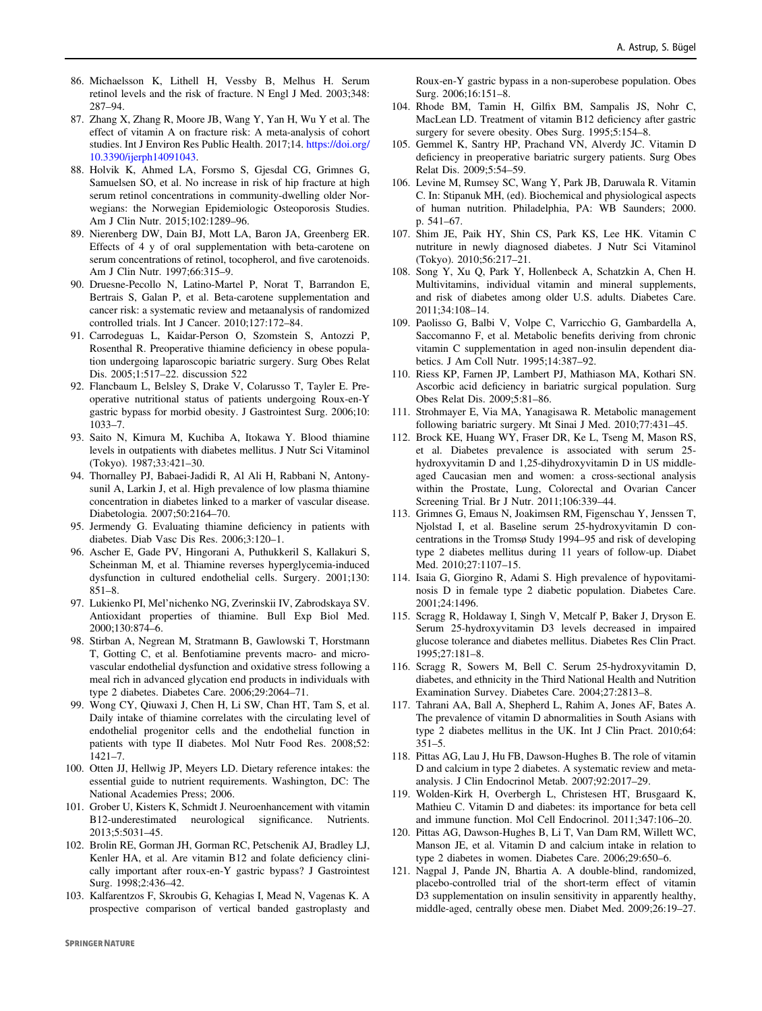- <span id="page-11-0"></span>86. Michaelsson K, Lithell H, Vessby B, Melhus H. Serum retinol levels and the risk of fracture. N Engl J Med. 2003;348: 287–94.
- 87. Zhang X, Zhang R, Moore JB, Wang Y, Yan H, Wu Y et al. The effect of vitamin A on fracture risk: A meta-analysis of cohort studies. Int J Environ Res Public Health. 2017;14. [https://doi.org/](https://doi.org/10.3390/ijerph14091043) [10.3390/ijerph14091043](https://doi.org/10.3390/ijerph14091043).
- 88. Holvik K, Ahmed LA, Forsmo S, Gjesdal CG, Grimnes G, Samuelsen SO, et al. No increase in risk of hip fracture at high serum retinol concentrations in community-dwelling older Norwegians: the Norwegian Epidemiologic Osteoporosis Studies. Am J Clin Nutr. 2015;102:1289–96.
- 89. Nierenberg DW, Dain BJ, Mott LA, Baron JA, Greenberg ER. Effects of 4 y of oral supplementation with beta-carotene on serum concentrations of retinol, tocopherol, and five carotenoids. Am J Clin Nutr. 1997;66:315–9.
- 90. Druesne-Pecollo N, Latino-Martel P, Norat T, Barrandon E, Bertrais S, Galan P, et al. Beta-carotene supplementation and cancer risk: a systematic review and metaanalysis of randomized controlled trials. Int J Cancer. 2010;127:172–84.
- 91. Carrodeguas L, Kaidar-Person O, Szomstein S, Antozzi P, Rosenthal R. Preoperative thiamine deficiency in obese population undergoing laparoscopic bariatric surgery. Surg Obes Relat Dis. 2005;1:517–22. discussion 522
- 92. Flancbaum L, Belsley S, Drake V, Colarusso T, Tayler E. Preoperative nutritional status of patients undergoing Roux-en-Y gastric bypass for morbid obesity. J Gastrointest Surg. 2006;10: 1033–7.
- 93. Saito N, Kimura M, Kuchiba A, Itokawa Y. Blood thiamine levels in outpatients with diabetes mellitus. J Nutr Sci Vitaminol (Tokyo). 1987;33:421–30.
- 94. Thornalley PJ, Babaei-Jadidi R, Al Ali H, Rabbani N, Antonysunil A, Larkin J, et al. High prevalence of low plasma thiamine concentration in diabetes linked to a marker of vascular disease. Diabetologia. 2007;50:2164–70.
- 95. Jermendy G. Evaluating thiamine deficiency in patients with diabetes. Diab Vasc Dis Res. 2006;3:120–1.
- 96. Ascher E, Gade PV, Hingorani A, Puthukkeril S, Kallakuri S, Scheinman M, et al. Thiamine reverses hyperglycemia-induced dysfunction in cultured endothelial cells. Surgery. 2001;130: 851–8.
- 97. Lukienko PI, Mel'nichenko NG, Zverinskii IV, Zabrodskaya SV. Antioxidant properties of thiamine. Bull Exp Biol Med. 2000;130:874–6.
- 98. Stirban A, Negrean M, Stratmann B, Gawlowski T, Horstmann T, Gotting C, et al. Benfotiamine prevents macro- and microvascular endothelial dysfunction and oxidative stress following a meal rich in advanced glycation end products in individuals with type 2 diabetes. Diabetes Care. 2006;29:2064–71.
- 99. Wong CY, Qiuwaxi J, Chen H, Li SW, Chan HT, Tam S, et al. Daily intake of thiamine correlates with the circulating level of endothelial progenitor cells and the endothelial function in patients with type II diabetes. Mol Nutr Food Res. 2008;52: 1421–7.
- 100. Otten JJ, Hellwig JP, Meyers LD. Dietary reference intakes: the essential guide to nutrient requirements. Washington, DC: The National Academies Press; 2006.
- 101. Grober U, Kisters K, Schmidt J. Neuroenhancement with vitamin B12-underestimated neurological significance. Nutrients. 2013;5:5031–45.
- 102. Brolin RE, Gorman JH, Gorman RC, Petschenik AJ, Bradley LJ, Kenler HA, et al. Are vitamin B12 and folate deficiency clinically important after roux-en-Y gastric bypass? J Gastrointest Surg. 1998;2:436–42.
- 103. Kalfarentzos F, Skroubis G, Kehagias I, Mead N, Vagenas K. A prospective comparison of vertical banded gastroplasty and

Roux-en-Y gastric bypass in a non-superobese population. Obes Surg. 2006;16:151–8.

- 104. Rhode BM, Tamin H, Gilfix BM, Sampalis JS, Nohr C, MacLean LD. Treatment of vitamin B12 deficiency after gastric surgery for severe obesity. Obes Surg. 1995;5:154–8.
- 105. Gemmel K, Santry HP, Prachand VN, Alverdy JC. Vitamin D deficiency in preoperative bariatric surgery patients. Surg Obes Relat Dis. 2009;5:54–59.
- 106. Levine M, Rumsey SC, Wang Y, Park JB, Daruwala R. Vitamin C. In: Stipanuk MH, (ed). Biochemical and physiological aspects of human nutrition. Philadelphia, PA: WB Saunders; 2000. p. 541–67.
- 107. Shim JE, Paik HY, Shin CS, Park KS, Lee HK. Vitamin C nutriture in newly diagnosed diabetes. J Nutr Sci Vitaminol (Tokyo). 2010;56:217–21.
- 108. Song Y, Xu Q, Park Y, Hollenbeck A, Schatzkin A, Chen H. Multivitamins, individual vitamin and mineral supplements, and risk of diabetes among older U.S. adults. Diabetes Care. 2011;34:108–14.
- 109. Paolisso G, Balbi V, Volpe C, Varricchio G, Gambardella A, Saccomanno F, et al. Metabolic benefits deriving from chronic vitamin C supplementation in aged non-insulin dependent diabetics. J Am Coll Nutr. 1995;14:387–92.
- 110. Riess KP, Farnen JP, Lambert PJ, Mathiason MA, Kothari SN. Ascorbic acid deficiency in bariatric surgical population. Surg Obes Relat Dis. 2009;5:81–86.
- 111. Strohmayer E, Via MA, Yanagisawa R. Metabolic management following bariatric surgery. Mt Sinai J Med. 2010;77:431–45.
- 112. Brock KE, Huang WY, Fraser DR, Ke L, Tseng M, Mason RS, et al. Diabetes prevalence is associated with serum 25 hydroxyvitamin D and 1,25-dihydroxyvitamin D in US middleaged Caucasian men and women: a cross-sectional analysis within the Prostate, Lung, Colorectal and Ovarian Cancer Screening Trial. Br J Nutr. 2011;106:339–44.
- 113. Grimnes G, Emaus N, Joakimsen RM, Figenschau Y, Jenssen T, Njolstad I, et al. Baseline serum 25-hydroxyvitamin D concentrations in the Tromsø Study 1994–95 and risk of developing type 2 diabetes mellitus during 11 years of follow-up. Diabet Med. 2010;27:1107–15.
- 114. Isaia G, Giorgino R, Adami S. High prevalence of hypovitaminosis D in female type 2 diabetic population. Diabetes Care. 2001;24:1496.
- 115. Scragg R, Holdaway I, Singh V, Metcalf P, Baker J, Dryson E. Serum 25-hydroxyvitamin D3 levels decreased in impaired glucose tolerance and diabetes mellitus. Diabetes Res Clin Pract. 1995;27:181–8.
- 116. Scragg R, Sowers M, Bell C. Serum 25-hydroxyvitamin D, diabetes, and ethnicity in the Third National Health and Nutrition Examination Survey. Diabetes Care. 2004;27:2813–8.
- 117. Tahrani AA, Ball A, Shepherd L, Rahim A, Jones AF, Bates A. The prevalence of vitamin D abnormalities in South Asians with type 2 diabetes mellitus in the UK. Int J Clin Pract. 2010;64: 351–5.
- 118. Pittas AG, Lau J, Hu FB, Dawson-Hughes B. The role of vitamin D and calcium in type 2 diabetes. A systematic review and metaanalysis. J Clin Endocrinol Metab. 2007;92:2017–29.
- 119. Wolden-Kirk H, Overbergh L, Christesen HT, Brusgaard K, Mathieu C. Vitamin D and diabetes: its importance for beta cell and immune function. Mol Cell Endocrinol. 2011;347:106–20.
- 120. Pittas AG, Dawson-Hughes B, Li T, Van Dam RM, Willett WC, Manson JE, et al. Vitamin D and calcium intake in relation to type 2 diabetes in women. Diabetes Care. 2006;29:650–6.
- 121. Nagpal J, Pande JN, Bhartia A. A double-blind, randomized, placebo-controlled trial of the short-term effect of vitamin D3 supplementation on insulin sensitivity in apparently healthy, middle-aged, centrally obese men. Diabet Med. 2009;26:19–27.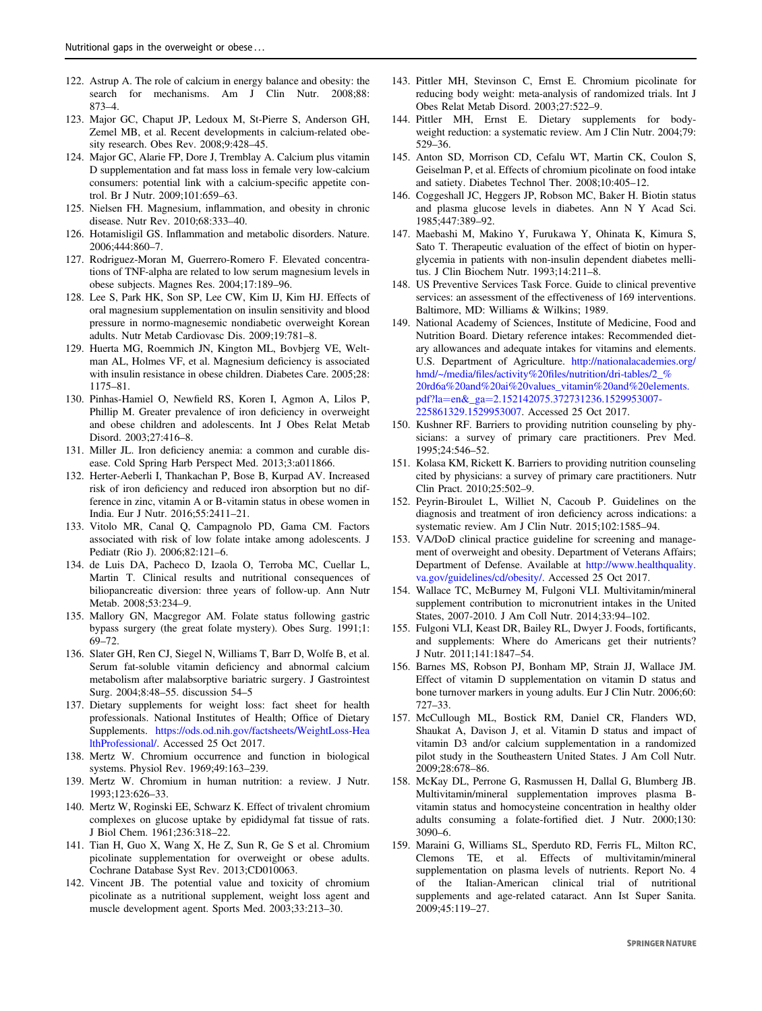- <span id="page-12-0"></span>122. Astrup A. The role of calcium in energy balance and obesity: the search for mechanisms. Am J Clin Nutr. 2008;88: 873–4.
- 123. Major GC, Chaput JP, Ledoux M, St-Pierre S, Anderson GH, Zemel MB, et al. Recent developments in calcium-related obesity research. Obes Rev. 2008;9:428–45.
- 124. Major GC, Alarie FP, Dore J, Tremblay A. Calcium plus vitamin D supplementation and fat mass loss in female very low-calcium consumers: potential link with a calcium-specific appetite control. Br J Nutr. 2009;101:659–63.
- 125. Nielsen FH. Magnesium, inflammation, and obesity in chronic disease. Nutr Rev. 2010;68:333–40.
- 126. Hotamisligil GS. Inflammation and metabolic disorders. Nature. 2006;444:860–7.
- 127. Rodriguez-Moran M, Guerrero-Romero F. Elevated concentrations of TNF-alpha are related to low serum magnesium levels in obese subjects. Magnes Res. 2004;17:189–96.
- 128. Lee S, Park HK, Son SP, Lee CW, Kim IJ, Kim HJ. Effects of oral magnesium supplementation on insulin sensitivity and blood pressure in normo-magnesemic nondiabetic overweight Korean adults. Nutr Metab Cardiovasc Dis. 2009;19:781–8.
- 129. Huerta MG, Roemmich JN, Kington ML, Bovbjerg VE, Weltman AL, Holmes VF, et al. Magnesium deficiency is associated with insulin resistance in obese children. Diabetes Care. 2005;28: 1175–81.
- 130. Pinhas-Hamiel O, Newfield RS, Koren I, Agmon A, Lilos P, Phillip M. Greater prevalence of iron deficiency in overweight and obese children and adolescents. Int J Obes Relat Metab Disord. 2003;27:416–8.
- 131. Miller JL. Iron deficiency anemia: a common and curable disease. Cold Spring Harb Perspect Med. 2013;3:a011866.
- 132. Herter-Aeberli I, Thankachan P, Bose B, Kurpad AV. Increased risk of iron deficiency and reduced iron absorption but no difference in zinc, vitamin A or B-vitamin status in obese women in India. Eur J Nutr. 2016;55:2411–21.
- 133. Vitolo MR, Canal Q, Campagnolo PD, Gama CM. Factors associated with risk of low folate intake among adolescents. J Pediatr (Rio J). 2006;82:121–6.
- 134. de Luis DA, Pacheco D, Izaola O, Terroba MC, Cuellar L, Martin T. Clinical results and nutritional consequences of biliopancreatic diversion: three years of follow-up. Ann Nutr Metab. 2008;53:234–9.
- 135. Mallory GN, Macgregor AM. Folate status following gastric bypass surgery (the great folate mystery). Obes Surg. 1991;1: 69–72.
- 136. Slater GH, Ren CJ, Siegel N, Williams T, Barr D, Wolfe B, et al. Serum fat-soluble vitamin deficiency and abnormal calcium metabolism after malabsorptive bariatric surgery. J Gastrointest Surg. 2004;8:48–55. discussion 54–5
- 137. Dietary supplements for weight loss: fact sheet for health professionals. National Institutes of Health; Office of Dietary Supplements. [https://ods.od.nih.gov/factsheets/WeightLoss-Hea](https://ods.od.nih.gov/factsheets/WeightLoss-HealthProfessional/) [lthProfessional/.](https://ods.od.nih.gov/factsheets/WeightLoss-HealthProfessional/) Accessed 25 Oct 2017.
- 138. Mertz W. Chromium occurrence and function in biological systems. Physiol Rev. 1969;49:163–239.
- 139. Mertz W. Chromium in human nutrition: a review. J Nutr. 1993;123:626–33.
- 140. Mertz W, Roginski EE, Schwarz K. Effect of trivalent chromium complexes on glucose uptake by epididymal fat tissue of rats. J Biol Chem. 1961;236:318–22.
- 141. Tian H, Guo X, Wang X, He Z, Sun R, Ge S et al. Chromium picolinate supplementation for overweight or obese adults. Cochrane Database Syst Rev. 2013;CD010063.
- 142. Vincent JB. The potential value and toxicity of chromium picolinate as a nutritional supplement, weight loss agent and muscle development agent. Sports Med. 2003;33:213–30.
- 143. Pittler MH, Stevinson C, Ernst E. Chromium picolinate for reducing body weight: meta-analysis of randomized trials. Int J Obes Relat Metab Disord. 2003;27:522–9.
- 144. Pittler MH, Ernst E. Dietary supplements for bodyweight reduction: a systematic review. Am J Clin Nutr. 2004;79: 529–36.
- 145. Anton SD, Morrison CD, Cefalu WT, Martin CK, Coulon S, Geiselman P, et al. Effects of chromium picolinate on food intake and satiety. Diabetes Technol Ther. 2008;10:405–12.
- 146. Coggeshall JC, Heggers JP, Robson MC, Baker H. Biotin status and plasma glucose levels in diabetes. Ann N Y Acad Sci. 1985;447:389–92.
- 147. Maebashi M, Makino Y, Furukawa Y, Ohinata K, Kimura S, Sato T. Therapeutic evaluation of the effect of biotin on hyperglycemia in patients with non-insulin dependent diabetes mellitus. J Clin Biochem Nutr. 1993;14:211–8.
- 148. US Preventive Services Task Force. Guide to clinical preventive services: an assessment of the effectiveness of 169 interventions. Baltimore, MD: Williams & Wilkins; 1989.
- 149. National Academy of Sciences, Institute of Medicine, Food and Nutrition Board. Dietary reference intakes: Recommended dietary allowances and adequate intakes for vitamins and elements. U.S. Department of Agriculture. [http://nationalacademies.org/](http://nationalacademies.org/hmd/~/media/files/activity%20files/nutrition/dri-tables/2_%20rd6a%20and%20ai%20values_vitamin%20and%20elements.pdf?la=en&_ga=2.152142075.372731236.1529953007-225861329.1529953007) hmd/~/media/files/activity%20fi[les/nutrition/dri-tables/2\\_%](http://nationalacademies.org/hmd/~/media/files/activity%20files/nutrition/dri-tables/2_%20rd6a%20and%20ai%20values_vitamin%20and%20elements.pdf?la=en&_ga=2.152142075.372731236.1529953007-225861329.1529953007) [20rd6a%20and%20ai%20values\\_vitamin%20and%20elements.](http://nationalacademies.org/hmd/~/media/files/activity%20files/nutrition/dri-tables/2_%20rd6a%20and%20ai%20values_vitamin%20and%20elements.pdf?la=en&_ga=2.152142075.372731236.1529953007-225861329.1529953007) pdf?la=en&\_ga=[2.152142075.372731236.1529953007-](http://nationalacademies.org/hmd/~/media/files/activity%20files/nutrition/dri-tables/2_%20rd6a%20and%20ai%20values_vitamin%20and%20elements.pdf?la=en&_ga=2.152142075.372731236.1529953007-225861329.1529953007) [225861329.1529953007.](http://nationalacademies.org/hmd/~/media/files/activity%20files/nutrition/dri-tables/2_%20rd6a%20and%20ai%20values_vitamin%20and%20elements.pdf?la=en&_ga=2.152142075.372731236.1529953007-225861329.1529953007) Accessed 25 Oct 2017.
- 150. Kushner RF. Barriers to providing nutrition counseling by physicians: a survey of primary care practitioners. Prev Med. 1995;24:546–52.
- 151. Kolasa KM, Rickett K. Barriers to providing nutrition counseling cited by physicians: a survey of primary care practitioners. Nutr Clin Pract. 2010;25:502–9.
- 152. Peyrin-Biroulet L, Williet N, Cacoub P. Guidelines on the diagnosis and treatment of iron deficiency across indications: a systematic review. Am J Clin Nutr. 2015;102:1585–94.
- 153. VA/DoD clinical practice guideline for screening and management of overweight and obesity. Department of Veterans Affairs; Department of Defense. Available at [http://www.healthquality.](http://www.healthquality.va.gov/guidelines/cd/obesity/) [va.gov/guidelines/cd/obesity/.](http://www.healthquality.va.gov/guidelines/cd/obesity/) Accessed 25 Oct 2017.
- 154. Wallace TC, McBurney M, Fulgoni VLI. Multivitamin/mineral supplement contribution to micronutrient intakes in the United States, 2007-2010. J Am Coll Nutr. 2014;33:94–102.
- 155. Fulgoni VLI, Keast DR, Bailey RL, Dwyer J. Foods, fortificants, and supplements: Where do Americans get their nutrients? J Nutr. 2011;141:1847–54.
- 156. Barnes MS, Robson PJ, Bonham MP, Strain JJ, Wallace JM. Effect of vitamin D supplementation on vitamin D status and bone turnover markers in young adults. Eur J Clin Nutr. 2006;60: 727–33.
- 157. McCullough ML, Bostick RM, Daniel CR, Flanders WD, Shaukat A, Davison J, et al. Vitamin D status and impact of vitamin D3 and/or calcium supplementation in a randomized pilot study in the Southeastern United States. J Am Coll Nutr. 2009;28:678–86.
- 158. McKay DL, Perrone G, Rasmussen H, Dallal G, Blumberg JB. Multivitamin/mineral supplementation improves plasma Bvitamin status and homocysteine concentration in healthy older adults consuming a folate-fortified diet. J Nutr. 2000;130: 3090–6.
- 159. Maraini G, Williams SL, Sperduto RD, Ferris FL, Milton RC, Clemons TE, et al. Effects of multivitamin/mineral supplementation on plasma levels of nutrients. Report No. 4 of the Italian-American clinical trial of nutritional supplements and age-related cataract. Ann Ist Super Sanita. 2009;45:119–27.